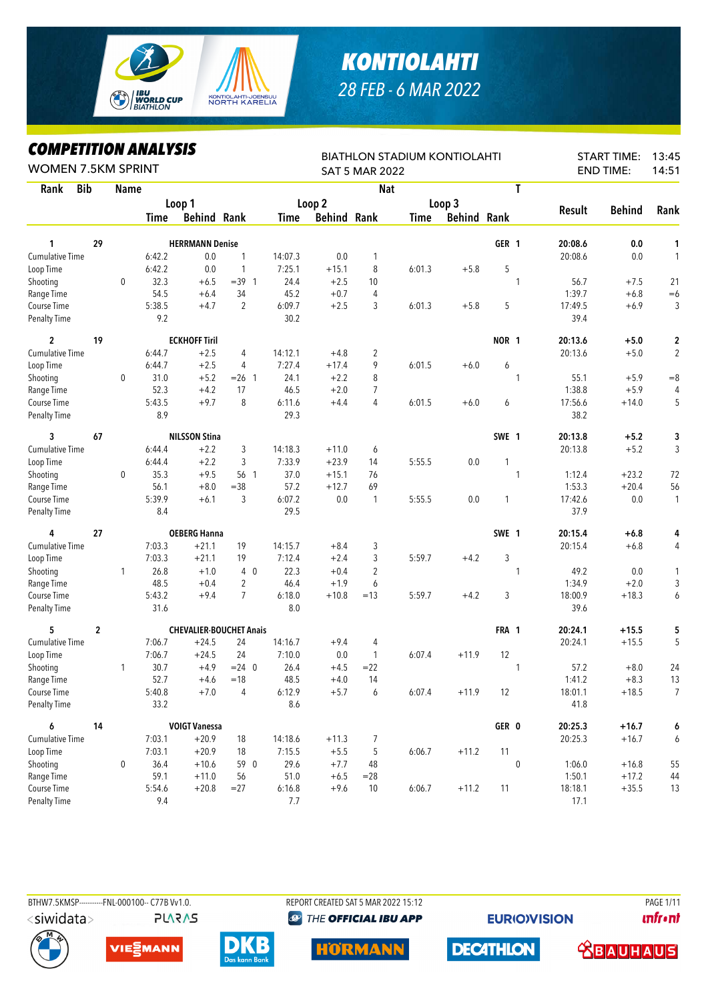

## *KONTIOLAHTI 28 FEB - 6 MAR 2022*

## *COMPETITION ANALYSIS*

| LUMPEIIIIUN ANALIƏIƏ<br><b>WOMEN 7.5KM SPRINT</b> |             |              |        |                                |                |         |                    | <b>SAT 5 MAR 2022</b>   | <b>BIATHLON STADIUM KONTIOLAHTI</b> |                    |              |              |         | <b>START TIME:</b><br><b>END TIME:</b> | 13:45<br>14:51 |
|---------------------------------------------------|-------------|--------------|--------|--------------------------------|----------------|---------|--------------------|-------------------------|-------------------------------------|--------------------|--------------|--------------|---------|----------------------------------------|----------------|
| <b>Bib</b><br>Rank                                |             | <b>Name</b>  |        |                                |                |         |                    | <b>Nat</b>              |                                     |                    |              | T            |         |                                        |                |
|                                                   |             |              |        | Loop 1                         |                |         | Loop <sub>2</sub>  |                         |                                     | Loop 3             |              |              |         |                                        |                |
|                                                   |             |              | Time   | <b>Behind Rank</b>             |                | Time    | <b>Behind Rank</b> |                         | Time                                | <b>Behind Rank</b> |              |              | Result  | <b>Behind</b>                          | Rank           |
| 1                                                 | 29          |              |        | <b>HERRMANN Denise</b>         |                |         |                    |                         |                                     |                    | GER 1        |              | 20:08.6 | 0.0                                    | 1              |
| <b>Cumulative Time</b>                            |             |              | 6:42.2 | 0.0                            | 1              | 14:07.3 | 0.0                | 1                       |                                     |                    |              |              | 20:08.6 | 0.0                                    | 1              |
| Loop Time                                         |             |              | 6:42.2 | 0.0                            | 1              | 7:25.1  | $+15.1$            | 8                       | 6:01.3                              | $+5.8$             | 5            |              |         |                                        |                |
| Shooting                                          |             | $\mathbf 0$  | 32.3   | $+6.5$                         | $=39.1$        | 24.4    | $+2.5$             | 10                      |                                     |                    |              | $\mathbf{1}$ | 56.7    | $+7.5$                                 | 21             |
| Range Time                                        |             |              | 54.5   | $+6.4$                         | 34             | 45.2    | $+0.7$             | $\overline{4}$          |                                     |                    |              |              | 1:39.7  | $+6.8$                                 | $=6$           |
| Course Time                                       |             |              | 5:38.5 | $+4.7$                         | $\overline{2}$ | 6:09.7  | $+2.5$             | 3                       | 6:01.3                              | $+5.8$             | 5            |              | 17:49.5 | $+6.9$                                 | 3              |
| <b>Penalty Time</b>                               |             |              | 9.2    |                                |                | 30.2    |                    |                         |                                     |                    |              |              | 39.4    |                                        |                |
| $\overline{c}$                                    | 19          |              |        | <b>ECKHOFF Tiril</b>           |                |         |                    |                         |                                     |                    | <b>NOR 1</b> |              | 20:13.6 | $+5.0$                                 | 2              |
| <b>Cumulative Time</b>                            |             |              | 6:44.7 | $+2.5$                         | 4              | 14:12.1 | $+4.8$             | $\overline{2}$          |                                     |                    |              |              | 20:13.6 | $+5.0$                                 | 2              |
| Loop Time                                         |             |              | 6:44.7 | $+2.5$                         | 4              | 7:27.4  | $+17.4$            | 9                       | 6:01.5                              | $+6.0$             | 6            |              |         |                                        |                |
| Shooting                                          |             | $\mathbf 0$  | 31.0   | $+5.2$                         | $= 26$ 1       | 24.1    | $+2.2$             | 8                       |                                     |                    |              | $\mathbf{1}$ | 55.1    | $+5.9$                                 | $= 8$          |
| Range Time                                        |             |              | 52.3   | $+4.2$                         | 17             | 46.5    | $+2.0$             | $\overline{7}$          |                                     |                    |              |              | 1:38.8  | $+5.9$                                 | 4              |
| Course Time                                       |             |              | 5:43.5 | $+9.7$                         | 8              | 6:11.6  | $+4.4$             | 4                       | 6:01.5                              | $+6.0$             | 6            |              | 17:56.6 | $+14.0$                                | 5              |
| <b>Penalty Time</b>                               |             |              | 8.9    |                                |                | 29.3    |                    |                         |                                     |                    |              |              | 38.2    |                                        |                |
| 3                                                 | 67          |              |        | <b>NILSSON Stina</b>           |                |         |                    |                         |                                     |                    | SWE 1        |              | 20:13.8 | $+5.2$                                 | 3              |
| <b>Cumulative Time</b>                            |             |              | 6:44.4 | $+2.2$                         | 3              | 14:18.3 | $+11.0$            | 6                       |                                     |                    |              |              | 20:13.8 | $+5.2$                                 | 3              |
| Loop Time                                         |             |              | 6:44.4 | $+2.2$                         | 3              | 7:33.9  | $+23.9$            | 14                      | 5:55.5                              | 0.0                | 1            |              |         |                                        |                |
| Shooting                                          |             | 0            | 35.3   | $+9.5$                         | 56 1           | 37.0    | $+15.1$            | 76                      |                                     |                    |              | $\mathbf{1}$ | 1:12.4  | $+23.2$                                | 72             |
| Range Time                                        |             |              | 56.1   | $+8.0$                         | $= 38$         | 57.2    | $+12.7$            | 69                      |                                     |                    |              |              | 1:53.3  | $+20.4$                                | 56             |
| Course Time                                       |             |              | 5:39.9 | $+6.1$                         | 3              | 6:07.2  | 0.0                | 1                       | 5:55.5                              | 0.0                | 1            |              | 17:42.6 | 0.0                                    | 1              |
| <b>Penalty Time</b>                               |             |              | 8.4    |                                |                | 29.5    |                    |                         |                                     |                    |              |              | 37.9    |                                        |                |
| 4                                                 | 27          |              |        | <b>OEBERG Hanna</b>            |                |         |                    |                         |                                     |                    | SWE 1        |              | 20:15.4 | $+6.8$                                 | 4              |
| Cumulative Time                                   |             |              | 7:03.3 | $+21.1$                        | 19             | 14:15.7 | $+8.4$             | 3                       |                                     |                    |              |              | 20:15.4 | $+6.8$                                 | 4              |
| Loop Time                                         |             |              | 7:03.3 | $+21.1$                        | 19             | 7:12.4  | $+2.4$             | 3                       | 5:59.7                              | $+4.2$             | 3            |              |         |                                        |                |
| Shooting                                          |             | $\mathbf{1}$ | 26.8   | $+1.0$                         | $4\quad0$      | 22.3    | $+0.4$             | $\overline{\mathbf{c}}$ |                                     |                    |              | $\mathbf{1}$ | 49.2    | 0.0                                    | 1              |
| Range Time                                        |             |              | 48.5   | $+0.4$                         | 2              | 46.4    | $+1.9$             | 6                       |                                     |                    |              |              | 1:34.9  | $+2.0$                                 | 3              |
| Course Time                                       |             |              | 5:43.2 | $+9.4$                         | $\overline{7}$ | 6:18.0  | $+10.8$            | $=13$                   | 5:59.7                              | $+4.2$             | 3            |              | 18:00.9 | $+18.3$                                | 6              |
| <b>Penalty Time</b>                               |             |              | 31.6   |                                |                | 8.0     |                    |                         |                                     |                    |              |              | 39.6    |                                        |                |
| 5                                                 | $\mathbf 2$ |              |        | <b>CHEVALIER-BOUCHET Anais</b> |                |         |                    |                         |                                     |                    | FRA 1        |              | 20:24.1 | $+15.5$                                | 5              |
| <b>Cumulative Time</b>                            |             |              | 7:06.7 | $+24.5$                        | 24             | 14:16.7 | $+9.4$             | 4                       |                                     |                    |              |              | 20:24.1 | $+15.5$                                | 5              |
| Loop Time                                         |             |              | 7:06.7 | $+24.5$                        | 24             | 7:10.0  | 0.0                | 1                       | 6:07.4                              | $+11.9$            | 12           |              |         |                                        |                |
| Shooting                                          |             | 1            | 30.7   | $+4.9$                         | $= 24$ 0       | 26.4    | $+4.5$             | $=22$                   |                                     |                    |              | $\mathbf{1}$ | 57.2    | $+8.0$                                 | 24             |
| Range Time                                        |             |              | 52.7   | $+4.6$                         | $=18$          | 48.5    | $+4.0$             | 14                      |                                     |                    |              |              | 1:41.2  | $+8.3$                                 | 13             |
| Course Time                                       |             |              | 5:40.8 | $+7.0$                         | 4              | 6:12.9  | $+5.7$             | 6                       | 6:07.4                              | $+11.9$            | 12           |              | 18:01.1 | $+18.5$                                | $\overline{7}$ |
| <b>Penalty Time</b>                               |             |              | 33.2   |                                |                | 8.6     |                    |                         |                                     |                    |              |              | 41.8    |                                        |                |
| 6                                                 | 14          |              |        | <b>VOIGT Vanessa</b>           |                |         |                    |                         |                                     |                    | GER 0        |              | 20:25.3 | $+16.7$                                | 6              |
| Cumulative Time                                   |             |              | 7:03.1 | $+20.9$                        | 18             | 14:18.6 | $+11.3$            | 7                       |                                     |                    |              |              | 20:25.3 | $+16.7$                                | 6              |
| Loop Time                                         |             |              | 7:03.1 | $+20.9$                        | 18             | 7:15.5  | $+5.5$             | 5                       | 6:06.7                              | $+11.2$            | 11           |              |         |                                        |                |
| Shooting                                          |             | 0            | 36.4   | $+10.6$                        | 59 0           | 29.6    | $+7.7$             | 48                      |                                     |                    |              | $\pmb{0}$    | 1:06.0  | $+16.8$                                | 55             |
| Range Time                                        |             |              | 59.1   | $+11.0$                        | 56             | 51.0    | $+6.5$             | $= 28$                  |                                     |                    |              |              | 1:50.1  | $+17.2$                                | 44             |
| Course Time                                       |             |              | 5:54.6 | $+20.8$                        | $=27$          | 6:16.8  | $+9.6$             | 10                      | 6:06.7                              | $+11.2$            | 11           |              | 18:18.1 | $+35.5$                                | 13             |
| Penalty Time                                      |             |              | 9.4    |                                |                | 7.7     |                    |                         |                                     |                    |              |              | 17.1    |                                        |                |

<siwidata>

**PLARAS** 

BTHW7.5KMSP----------FNL-000100-- C77B W1.0. REPORT CREATED SAT 5 MAR 2022 15:12 PAGE 1/11 **@ THE OFFICIAL IBU APP** 

**EURIO)VISION** 

**unfront** 











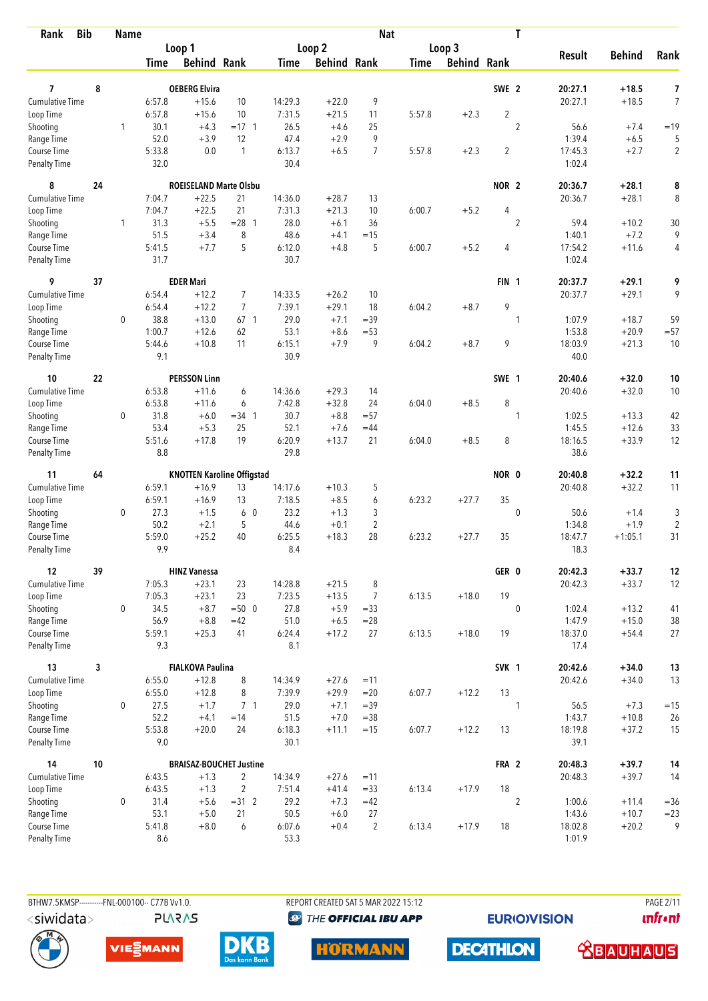| <b>Bib</b><br>Rank                 |    | <b>Name</b>  |                  |                                   |                 |                |                    | <b>Nat</b>     |             |                    |                  | T                |                 |               |                     |
|------------------------------------|----|--------------|------------------|-----------------------------------|-----------------|----------------|--------------------|----------------|-------------|--------------------|------------------|------------------|-----------------|---------------|---------------------|
|                                    |    |              |                  | Loop 1                            |                 |                | Loop 2             |                |             | Loop 3             |                  |                  |                 |               |                     |
|                                    |    |              | Time             | <b>Behind Rank</b>                |                 | Time           | <b>Behind Rank</b> |                | <b>Time</b> | <b>Behind Rank</b> |                  |                  | <b>Result</b>   | <b>Behind</b> | Rank                |
| 7                                  | 8  |              |                  | <b>OEBERG Elvira</b>              |                 |                |                    |                |             |                    | SWE 2            |                  | 20:27.1         | $+18.5$       |                     |
| <b>Cumulative Time</b>             |    |              |                  |                                   | 10              | 14:29.3        |                    | 9              |             |                    |                  |                  | 20:27.1         | $+18.5$       | 7<br>$\overline{7}$ |
| Loop Time                          |    |              | 6:57.8<br>6:57.8 | $+15.6$<br>$+15.6$                | 10              | 7:31.5         | $+22.0$<br>$+21.5$ | 11             | 5:57.8      | $+2.3$             | $\overline{2}$   |                  |                 |               |                     |
| Shooting                           |    | 1            | 30.1             | $+4.3$                            | $= 17 \quad 1$  | 26.5           | $+4.6$             | 25             |             |                    |                  | $\overline{2}$   | 56.6            | $+7.4$        | $=19$               |
| Range Time                         |    |              | 52.0             | $+3.9$                            | 12              | 47.4           | $+2.9$             | 9              |             |                    |                  |                  | 1:39.4          | $+6.5$        | 5                   |
| Course Time                        |    |              | 5:33.8           | 0.0                               | $\mathbf{1}$    | 6:13.7         | $+6.5$             | $\overline{7}$ | 5:57.8      | $+2.3$             | $\overline{2}$   |                  | 17:45.3         | $+2.7$        | $\overline{2}$      |
| <b>Penalty Time</b>                |    |              | 32.0             |                                   |                 | 30.4           |                    |                |             |                    |                  |                  | 1:02.4          |               |                     |
| 8                                  | 24 |              |                  | <b>ROEISELAND Marte Olsbu</b>     |                 |                |                    |                |             |                    | NOR <sub>2</sub> |                  | 20:36.7         | $+28.1$       | 8                   |
| Cumulative Time                    |    |              | 7:04.7           | $+22.5$                           | 21              | 14:36.0        | $+28.7$            | 13             |             |                    |                  |                  | 20:36.7         | $+28.1$       | 8                   |
| Loop Time                          |    |              | 7:04.7           | $+22.5$                           | 21              | 7:31.3         | $+21.3$            | 10             | 6:00.7      | $+5.2$             | 4                |                  |                 |               |                     |
| Shooting                           |    | $\mathbf{1}$ | 31.3             | $+5.5$                            | $= 28$ 1        | 28.0           | $+6.1$             | 36             |             |                    |                  | $\overline{2}$   | 59.4            | $+10.2$       | 30                  |
| Range Time                         |    |              | 51.5             | $+3.4$                            | 8               | 48.6           | $+4.1$             | $=15$          |             |                    |                  |                  | 1:40.1          | $+7.2$        | 9                   |
| Course Time                        |    |              | 5:41.5           | $+7.7$                            | 5               | 6:12.0         | $+4.8$             | 5              | 6:00.7      | $+5.2$             | 4                |                  | 17:54.2         | $+11.6$       | 4                   |
| <b>Penalty Time</b>                |    |              | 31.7             |                                   |                 | 30.7           |                    |                |             |                    |                  |                  | 1:02.4          |               |                     |
| 9                                  | 37 |              |                  | <b>EDER Mari</b>                  |                 |                |                    |                |             |                    | FIN <sub>1</sub> |                  | 20:37.7         | $+29.1$       | 9                   |
| <b>Cumulative Time</b>             |    |              | 6:54.4           | $+12.2$                           | $\overline{7}$  | 14:33.5        | $+26.2$            | 10             |             |                    |                  |                  | 20:37.7         | $+29.1$       | 9                   |
| Loop Time                          |    |              | 6:54.4           | $+12.2$                           | $\overline{7}$  | 7:39.1         | $+29.1$            | 18             | 6:04.2      | $+8.7$             | 9                |                  |                 |               |                     |
| Shooting                           |    | 0            | 38.8             | $+13.0$                           | 67 <sub>1</sub> | 29.0           | $+7.1$             | $=39$          |             |                    |                  | 1                | 1:07.9          | $+18.7$       | 59                  |
| Range Time                         |    |              | 1:00.7           | $+12.6$                           | 62              | 53.1           | $+8.6$             | $= 53$         |             |                    |                  |                  | 1:53.8          | $+20.9$       | $= 57$              |
| Course Time<br><b>Penalty Time</b> |    |              | 5:44.6<br>9.1    | $+10.8$                           | 11              | 6:15.1<br>30.9 | $+7.9$             | 9              | 6:04.2      | $+8.7$             | 9                |                  | 18:03.9<br>40.0 | $+21.3$       | 10                  |
| 10                                 | 22 |              |                  | <b>PERSSON Linn</b>               |                 |                |                    |                |             |                    | SWE 1            |                  | 20:40.6         | $+32.0$       | 10                  |
| Cumulative Time                    |    |              | 6:53.8           | $+11.6$                           | 6               | 14:36.6        | $+29.3$            | 14             |             |                    |                  |                  | 20:40.6         | $+32.0$       | 10                  |
| Loop Time                          |    |              | 6:53.8           | $+11.6$                           | 6               | 7:42.8         | $+32.8$            | 24             | 6:04.0      | $+8.5$             | 8                |                  |                 |               |                     |
| Shooting                           |    | 0            | 31.8             | $+6.0$                            | $=34$ 1         | 30.7           | $+8.8$             | $= 57$         |             |                    |                  | 1                | 1:02.5          | $+13.3$       | 42                  |
| Range Time                         |    |              | 53.4             | $+5.3$                            | 25              | 52.1           | $+7.6$             | $=44$          |             |                    |                  |                  | 1:45.5          | $+12.6$       | 33                  |
| Course Time                        |    |              | 5:51.6           | $+17.8$                           | 19              | 6:20.9         | $+13.7$            | 21             | 6:04.0      | $+8.5$             | 8                |                  | 18:16.5         | $+33.9$       | 12                  |
| <b>Penalty Time</b>                |    |              | 8.8              |                                   |                 | 29.8           |                    |                |             |                    |                  |                  | 38.6            |               |                     |
| 11                                 | 64 |              |                  | <b>KNOTTEN Karoline Offigstad</b> |                 |                |                    |                |             |                    | NOR 0            |                  | 20:40.8         | $+32.2$       | 11                  |
| <b>Cumulative Time</b>             |    |              | 6:59.1           | $+16.9$                           | 13              | 14:17.6        | $+10.3$            | 5              |             |                    |                  |                  | 20:40.8         | $+32.2$       | 11                  |
| Loop Time                          |    |              | 6:59.1           | $+16.9$                           | 13              | 7:18.5         | $+8.5$             | 6              | 6:23.2      | $+27.7$            | 35               |                  |                 |               |                     |
| Shooting                           |    | 0            | 27.3             | $+1.5$                            | 6 0             | 23.2           | $+1.3$             | 3              |             |                    |                  | $\mathbf 0$      | 50.6            | $+1.4$        | $\mathfrak{Z}$      |
| Range Time                         |    |              | 50.2             | $+2.1$                            | 5               | 44.6           | $+0.1$             | $\overline{2}$ |             |                    |                  |                  | 1:34.8          | $+1.9$        | $\overline{c}$      |
| Course Time                        |    |              | 5:59.0           | $+25.2$                           | 40              | 6:25.5         | $+18.3$            | 28             | 6:23.2      | $+27.7$            | 35               |                  | 18:47.7         | $+1:05.1$     | 31                  |
| <b>Penalty Time</b>                |    |              | 9.9              |                                   |                 | 8.4            |                    |                |             |                    |                  |                  | 18.3            |               |                     |
| 12                                 | 39 |              |                  | <b>HINZ Vanessa</b>               |                 |                |                    |                |             |                    | GER 0            |                  | 20:42.3         | $+33.7$       | 12                  |
| Cumulative Time                    |    |              | 7:05.3           | $+23.1$                           | 23              | 14:28.8        | $+21.5$            | 8              |             |                    |                  |                  | 20:42.3         | $+33.7$       | 12                  |
| Loop Time                          |    |              | 7:05.3           | $+23.1$                           | 23              | 7:23.5         | $+13.5$            | $\overline{7}$ | 6:13.5      | $+18.0$            | 19               |                  |                 |               |                     |
| Shooting                           |    | 0            | 34.5             | $+8.7$                            | $=500$          | 27.8           | $+5.9$             | $= 33$         |             |                    |                  | $\mathbf 0$      | 1:02.4          | $+13.2$       | 41                  |
| Range Time                         |    |              | 56.9             | $+8.8$                            | $=42$           | 51.0           | $+6.5$             | $= 28$         |             |                    |                  |                  | 1:47.9          | $+15.0$       | 38                  |
| Course Time<br>Penalty Time        |    |              | 5:59.1<br>9.3    | $+25.3$                           | 41              | 6:24.4<br>8.1  | $+17.2$            | 27             | 6:13.5      | $+18.0$            | 19               |                  | 18:37.0<br>17.4 | $+54.4$       | 27                  |
| 13                                 | 3  |              |                  | <b>FIALKOVA Paulina</b>           |                 |                |                    |                |             |                    | SVK 1            |                  | 20:42.6         | $+34.0$       | 13                  |
| <b>Cumulative Time</b>             |    |              | 6:55.0           | $+12.8$                           | 8               | 14:34.9        | $+27.6$            | $=11$          |             |                    |                  |                  | 20:42.6         | $+34.0$       | 13                  |
| Loop Time                          |    |              | 6:55.0           | $+12.8$                           | 8               | 7:39.9         | $+29.9$            | $=20$          | 6:07.7      | $+12.2$            | 13               |                  |                 |               |                     |
| Shooting                           |    | 0            | 27.5             | $+1.7$                            | 7 <sub>1</sub>  | 29.0           | $+7.1$             | $=39$          |             |                    |                  | $\mathbf{1}$     | 56.5            | $+7.3$        | $=15$               |
| Range Time                         |    |              | 52.2             | $+4.1$                            | $=14$           | 51.5           | $+7.0$             | $= 38$         |             |                    |                  |                  | 1:43.7          | $+10.8$       | 26                  |
| Course Time                        |    |              | 5:53.8           | $+20.0$                           | 24              | 6:18.3         | $+11.1$            | $=15$          | 6:07.7      | $+12.2$            | 13               |                  | 18:19.8         | $+37.2$       | 15                  |
| Penalty Time                       |    |              | 9.0              |                                   |                 | 30.1           |                    |                |             |                    |                  |                  | 39.1            |               |                     |
| 14                                 | 10 |              |                  | <b>BRAISAZ-BOUCHET Justine</b>    |                 |                |                    |                |             |                    | FRA 2            |                  | 20:48.3         | $+39.7$       | 14                  |
| <b>Cumulative Time</b>             |    |              | 6:43.5           | $+1.3$                            | $\overline{2}$  | 14:34.9        | $+27.6$            | $=11$          |             |                    |                  |                  | 20:48.3         | $+39.7$       | 14                  |
| Loop Time                          |    |              | 6:43.5           | $+1.3$                            | $\overline{2}$  | 7:51.4         | $+41.4$            | $= 33$         | 6:13.4      | $+17.9$            | $18\,$           |                  |                 |               |                     |
| Shooting                           |    | $\mathbf 0$  | 31.4             | $+5.6$                            | $=31$ 2         | 29.2           | $+7.3$             | $=42$          |             |                    |                  | $\boldsymbol{2}$ | 1:00.6          | $+11.4$       | $= 36$              |
| Range Time                         |    |              | 53.1             | $+5.0$                            | 21              | 50.5           | $+6.0$             | 27             |             |                    |                  |                  | 1:43.6          | $+10.7$       | $= 23$              |
| Course Time                        |    |              | 5:41.8           | $+8.0$                            | 6               | 6:07.6         | $+0.4$             | $\overline{2}$ | 6:13.4      | $+17.9$            | 18               |                  | 18:02.8         | $+20.2$       | 9                   |
| Penalty Time                       |    |              | 8.6              |                                   |                 | 53.3           |                    |                |             |                    |                  |                  | 1:01.9          |               |                     |

BTHW7.5KMSP----------FNL-000100-- C77B Vv1.0.

**PLARAS** 

REPORT CREATED SAT 5 MAR 2022 15:12 **<sup><sup>3</sup>** THE OFFICIAL IBU APP</sup>

**EURIOVISION** 

**PAGE 2/11** *<u><u>Infront</u>*</u>







**HORMANN** 



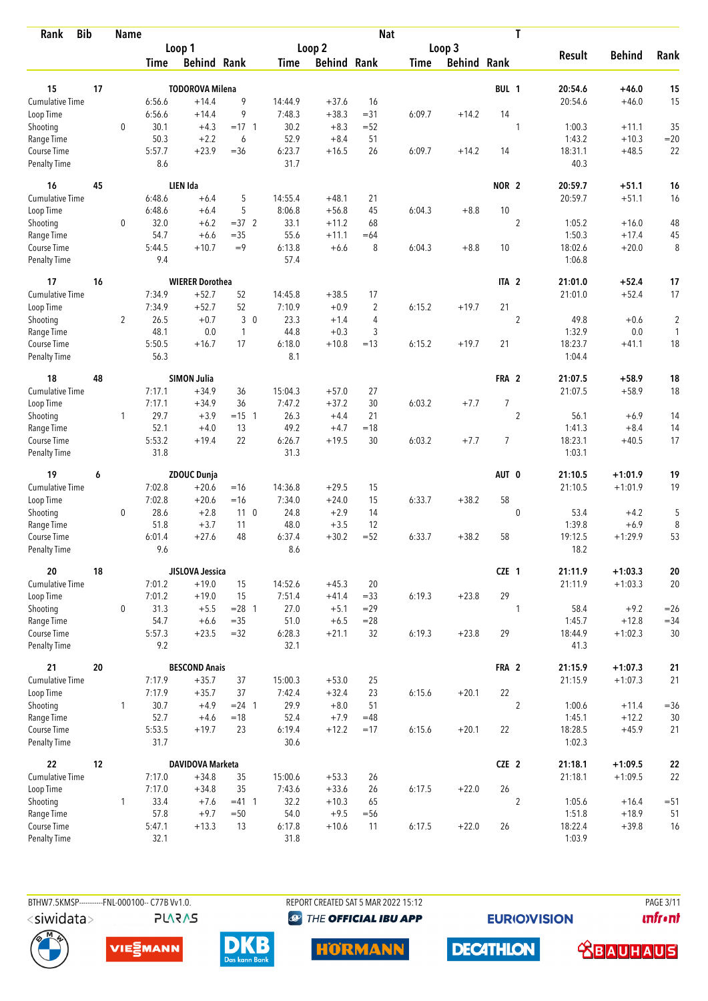| <b>Bib</b><br>Rank                 |    | <b>Name</b>    |                |                        |                      |                |                    | <b>Nat</b>     |             |                    |                  | T                |                   |                    |                |
|------------------------------------|----|----------------|----------------|------------------------|----------------------|----------------|--------------------|----------------|-------------|--------------------|------------------|------------------|-------------------|--------------------|----------------|
|                                    |    |                |                | Loop 1                 |                      |                | Loop 2             |                |             | Loop 3             |                  |                  |                   |                    |                |
|                                    |    |                | Time           | <b>Behind Rank</b>     |                      | Time           | <b>Behind Rank</b> |                | <b>Time</b> | <b>Behind Rank</b> |                  |                  | <b>Result</b>     | <b>Behind</b>      | Rank           |
| 15                                 | 17 |                |                | <b>TODOROVA Milena</b> |                      |                |                    |                |             |                    | BUL 1            |                  | 20:54.6           | +46.0              | 15             |
| <b>Cumulative Time</b>             |    |                | 6:56.6         | $+14.4$                | 9                    | 14:44.9        | $+37.6$            | 16             |             |                    |                  |                  | 20:54.6           | $+46.0$            | 15             |
| Loop Time                          |    |                | 6:56.6         | $+14.4$                | 9                    | 7:48.3         | $+38.3$            | $= 31$         | 6:09.7      | $+14.2$            | 14               |                  |                   |                    |                |
| Shooting                           |    | $\mathbf 0$    | 30.1           | $+4.3$                 | $= 17 \quad 1$       | 30.2           | $+8.3$             | $=52$          |             |                    |                  | 1                | 1:00.3            | $+11.1$            | 35             |
| Range Time                         |    |                | 50.3           | $+2.2$                 | 6                    | 52.9           | $+8.4$             | 51             |             |                    |                  |                  | 1:43.2            | $+10.3$            | $=20$          |
| Course Time                        |    |                | 5:57.7         | $+23.9$                | $=36$                | 6:23.7         | $+16.5$            | 26             | 6:09.7      | $+14.2$            | 14               |                  | 18:31.1           | $+48.5$            | 22             |
| <b>Penalty Time</b>                |    |                | 8.6            |                        |                      | 31.7           |                    |                |             |                    |                  |                  | 40.3              |                    |                |
| 16                                 | 45 |                |                | LIEN Ida               |                      |                |                    |                |             |                    | NOR <sub>2</sub> |                  | 20:59.7           | $+51.1$            | 16             |
| <b>Cumulative Time</b>             |    |                | 6:48.6         | $+6.4$                 | 5                    | 14:55.4        | $+48.1$            | 21             |             |                    |                  |                  | 20:59.7           | $+51.1$            | 16             |
| Loop Time                          |    |                | 6:48.6         | $+6.4$                 | 5                    | 8:06.8         | $+56.8$            | 45             | 6:04.3      | $+8.8$             | 10               |                  |                   |                    |                |
| Shooting                           |    | 0              | 32.0           | $+6.2$                 | $=37.2$              | 33.1           | $+11.2$            | 68             |             |                    |                  | $\overline{2}$   | 1:05.2            | $+16.0$            | 48             |
| Range Time                         |    |                | 54.7           | $+6.6$                 | $= 35$               | 55.6           | $+11.1$            | $=64$          |             |                    |                  |                  | 1:50.3            | $+17.4$            | 45             |
| Course Time                        |    |                | 5:44.5         | $+10.7$                | $=9$                 | 6:13.8         | $+6.6$             | 8              | 6:04.3      | $+8.8$             | 10               |                  | 18:02.6           | $+20.0$            | 8              |
| Penalty Time                       |    |                | 9.4            |                        |                      | 57.4           |                    |                |             |                    |                  |                  | 1:06.8            |                    |                |
| 17                                 | 16 |                |                | <b>WIERER Dorothea</b> |                      |                |                    |                |             |                    | ITA <sub>2</sub> |                  | 21:01.0           | $+52.4$            | 17             |
| <b>Cumulative Time</b>             |    |                | 7:34.9         | $+52.7$                | 52                   | 14:45.8        | $+38.5$            | 17             |             |                    |                  |                  | 21:01.0           | $+52.4$            | 17             |
| Loop Time                          |    |                | 7:34.9         | $+52.7$                | 52                   | 7:10.9         | $+0.9$             | $\overline{2}$ | 6:15.2      | $+19.7$            | 21               |                  |                   |                    |                |
| Shooting                           |    | $\overline{2}$ | 26.5           | $+0.7$                 | 3 <sup>0</sup>       | 23.3           | $+1.4$             | 4              |             |                    |                  | $\boldsymbol{2}$ | 49.8              | $+0.6$             | $\overline{c}$ |
| Range Time                         |    |                | 48.1           | 0.0                    | $\overline{1}$       | 44.8           | $+0.3$             | 3              |             |                    |                  |                  | 1:32.9            | 0.0                | 1              |
| Course Time<br><b>Penalty Time</b> |    |                | 5:50.5<br>56.3 | $+16.7$                | 17                   | 6:18.0<br>8.1  | $+10.8$            | $=13$          | 6:15.2      | $+19.7$            | 21               |                  | 18:23.7<br>1:04.4 | $+41.1$            | 18             |
|                                    |    |                |                |                        |                      |                |                    |                |             |                    |                  |                  |                   |                    |                |
| 18                                 | 48 |                |                | <b>SIMON Julia</b>     |                      |                |                    |                |             |                    | FRA 2            |                  | 21:07.5           | $+58.9$            | 18             |
| Cumulative Time                    |    |                | 7:17.1         | $+34.9$                | 36                   | 15:04.3        | $+57.0$            | 27             |             |                    |                  |                  | 21:07.5           | $+58.9$            | 18             |
| Loop Time                          |    | $\mathbf{1}$   | 7:17.1<br>29.7 | $+34.9$                | 36                   | 7:47.2<br>26.3 | $+37.2$<br>$+4.4$  | 30             | 6:03.2      | $+7.7$             | $\overline{7}$   | $\overline{2}$   | 56.1              |                    |                |
| Shooting<br>Range Time             |    |                | 52.1           | $+3.9$<br>$+4.0$       | $= 15 \quad 1$<br>13 | 49.2           | $+4.7$             | 21<br>$=18$    |             |                    |                  |                  | 1:41.3            | $+6.9$<br>$+8.4$   | 14<br>14       |
| Course Time                        |    |                | 5:53.2         | $+19.4$                | 22                   | 6:26.7         | $+19.5$            | 30             | 6:03.2      | $+7.7$             | $\overline{7}$   |                  | 18:23.1           | $+40.5$            | 17             |
| <b>Penalty Time</b>                |    |                | 31.8           |                        |                      | 31.3           |                    |                |             |                    |                  |                  | 1:03.1            |                    |                |
| 19                                 | 6  |                |                | <b>ZDOUC Dunja</b>     |                      |                |                    |                |             |                    | AUT 0            |                  | 21:10.5           | $+1:01.9$          | 19             |
| Cumulative Time                    |    |                | 7:02.8         | $+20.6$                | $=16$                | 14:36.8        | $+29.5$            | 15             |             |                    |                  |                  | 21:10.5           | $+1:01.9$          | 19             |
| Loop Time                          |    |                | 7:02.8         | $+20.6$                | $=16$                | 7:34.0         | $+24.0$            | 15             | 6:33.7      | $+38.2$            | 58               |                  |                   |                    |                |
| Shooting                           |    | 0              | 28.6           | $+2.8$                 | 11 <sub>0</sub>      | 24.8           | $+2.9$             | 14             |             |                    |                  | $\mathbf 0$      | 53.4              | $+4.2$             | 5              |
| Range Time                         |    |                | 51.8           | $+3.7$                 | 11                   | 48.0           | $+3.5$             | 12             |             |                    |                  |                  | 1:39.8            | $+6.9$             | 8              |
| Course Time                        |    |                | 6:01.4         | $+27.6$                | 48                   | 6:37.4         | $+30.2$            | $= 52$         | 6:33.7      | $+38.2$            | 58               |                  | 19:12.5           | $+1:29.9$          | 53             |
| <b>Penalty Time</b>                |    |                | 9.6            |                        |                      | 8.6            |                    |                |             |                    |                  |                  | 18.2              |                    |                |
| 20                                 | 18 |                |                | JISLOVA Jessica        |                      |                |                    |                |             |                    | CZE 1            |                  | 21:11.9           | $+1:03.3$          | ${\bf 20}$     |
| Cumulative Time                    |    |                | 7:01.2         | $+19.0$                | 15                   | 14:52.6        | $+45.3$            | 20             |             |                    |                  |                  | 21:11.9           | $+1:03.3$          | 20             |
| Loop Time                          |    |                | 7:01.2         | $+19.0$                | 15                   | 7:51.4         | $+41.4$            | $= 33$         | 6:19.3      | $+23.8$            | 29               |                  |                   |                    |                |
| Shooting                           |    | 0              | 31.3           | $+5.5$                 | $= 28$ 1             | 27.0           | $+5.1$             | $=29$          |             |                    |                  | 1                | 58.4              | $+9.2$             | $=26$          |
| Range Time                         |    |                | 54.7           | $+6.6$                 | $=35$                | 51.0           | $+6.5$             | $= 28$         |             |                    |                  |                  | 1:45.7            | $+12.8$            | $= 34$         |
| Course Time<br>Penalty Time        |    |                | 5:57.3<br>9.2  | $+23.5$                | $=32$                | 6:28.3<br>32.1 | $+21.1$            | 32             | 6:19.3      | $+23.8$            | 29               |                  | 18:44.9<br>41.3   | $+1:02.3$          | 30             |
|                                    |    |                |                |                        |                      |                |                    |                |             |                    |                  |                  |                   |                    |                |
| 21                                 | 20 |                |                | <b>BESCOND Anais</b>   |                      |                |                    |                |             |                    | FRA 2            |                  | 21:15.9           | $+1:07.3$          | 21             |
| <b>Cumulative Time</b>             |    |                | 7:17.9         | $+35.7$                | 37                   | 15:00.3        | $+53.0$            | 25             |             |                    |                  |                  | 21:15.9           | $+1:07.3$          | 21             |
| Loop Time                          |    |                | 7:17.9         | $+35.7$                | 37                   | 7:42.4         | $+32.4$            | 23             | 6:15.6      | $+20.1$            | 22               |                  |                   |                    |                |
| Shooting                           |    | $\mathbf{1}$   | 30.7<br>52.7   | $+4.9$                 | $= 24$ 1<br>$=18$    | 29.9           | $+8.0$             | 51             |             |                    |                  | $\overline{2}$   | 1:00.6            | $+11.4$            | $= 36$         |
| Range Time<br>Course Time          |    |                | 5:53.5         | $+4.6$<br>$+19.7$      | 23                   | 52.4<br>6:19.4 | $+7.9$<br>$+12.2$  | $=48$<br>$=17$ | 6:15.6      | $+20.1$            | 22               |                  | 1:45.1<br>18:28.5 | $+12.2$<br>$+45.9$ | 30<br>21       |
| Penalty Time                       |    |                | 31.7           |                        |                      | 30.6           |                    |                |             |                    |                  |                  | 1:02.3            |                    |                |
| 22                                 | 12 |                |                | DAVIDOVA Marketa       |                      |                |                    |                |             |                    | CZE 2            |                  | 21:18.1           | $+1:09.5$          | ${\bf 22}$     |
| Cumulative Time                    |    |                | 7:17.0         | $+34.8$                | 35                   | 15:00.6        | $+53.3$            | 26             |             |                    |                  |                  | 21:18.1           | $+1:09.5$          | 22             |
| Loop Time                          |    |                | 7:17.0         | $+34.8$                | 35                   | 7:43.6         | $+33.6$            | 26             | 6:17.5      | $+22.0$            | 26               |                  |                   |                    |                |
| Shooting                           |    | $\mathbf{1}$   | 33.4           | $+7.6$                 | $= 41$ 1             | 32.2           | $+10.3$            | 65             |             |                    |                  | $\overline{2}$   | 1:05.6            | $+16.4$            | $= 51$         |
| Range Time                         |    |                | 57.8           | $+9.7$                 | $=50$                | 54.0           | $+9.5$             | $=$ 56         |             |                    |                  |                  | 1:51.8            | $+18.9$            | 51             |
| Course Time                        |    |                | 5:47.1         | $+13.3$                | 13                   | 6:17.8         | $+10.6$            | 11             | 6:17.5      | $+22.0$            | 26               |                  | 18:22.4           | $+39.8$            | 16             |
| Penalty Time                       |    |                | 32.1           |                        |                      | 31.8           |                    |                |             |                    |                  |                  | 1:03.9            |                    |                |



**PLARAS** 

REPORT CREATED SAT 5 MAR 2022 15:12 **<sup><sup>3</sup>** THE OFFICIAL IBU APP</sup>

**EURIOVISION** 

PAGE 3/11 *<u><u>Infront</u>*</u>







**HORMANN** 

**DECATHLON** 

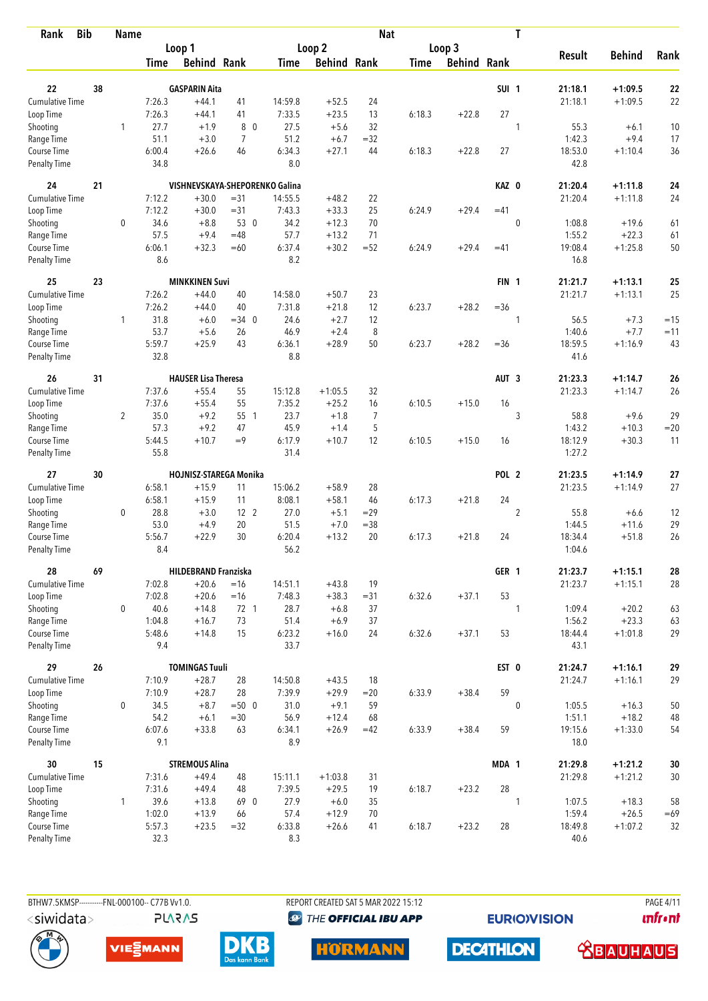| Rank                               | <b>Bib</b> | <b>Name</b>    |                |                                |                 |                |                    | <b>Nat</b> |             |                    |                  | T              |                 |               |       |
|------------------------------------|------------|----------------|----------------|--------------------------------|-----------------|----------------|--------------------|------------|-------------|--------------------|------------------|----------------|-----------------|---------------|-------|
|                                    |            |                |                | Loop 1                         |                 |                | Loop 2             |            |             | Loop 3             |                  |                |                 |               |       |
|                                    |            |                | Time           | <b>Behind Rank</b>             |                 | Time           | <b>Behind Rank</b> |            | <b>Time</b> | <b>Behind Rank</b> |                  |                | <b>Result</b>   | <b>Behind</b> | Rank  |
| 22                                 | 38         |                |                | <b>GASPARIN Aita</b>           |                 |                |                    |            |             |                    | SUI <sub>1</sub> |                | 21:18.1         | $+1:09.5$     | 22    |
| <b>Cumulative Time</b>             |            |                | 7:26.3         | $+44.1$                        | 41              | 14:59.8        | $+52.5$            | 24         |             |                    |                  |                | 21:18.1         | $+1:09.5$     | 22    |
| Loop Time                          |            |                | 7:26.3         | $+44.1$                        | 41              | 7:33.5         | $+23.5$            | 13         | 6:18.3      | $+22.8$            | 27               |                |                 |               |       |
| Shooting                           |            | 1              | 27.7           | $+1.9$                         | 8 0             | 27.5           | $+5.6$             | 32         |             |                    |                  | 1              | 55.3            | $+6.1$        | 10    |
| Range Time                         |            |                | 51.1           | $+3.0$                         | 7               | 51.2           | $+6.7$             | $=32$      |             |                    |                  |                | 1:42.3          | $+9.4$        | 17    |
| Course Time                        |            |                | 6:00.4         | $+26.6$                        | 46              | 6:34.3         | $+27.1$            | 44         | 6:18.3      | $+22.8$            | 27               |                | 18:53.0         | $+1:10.4$     | 36    |
| <b>Penalty Time</b>                |            |                | 34.8           |                                |                 | 8.0            |                    |            |             |                    |                  |                | 42.8            |               |       |
| 24                                 | 21         |                |                | VISHNEVSKAYA-SHEPORENKO Galina |                 |                |                    |            |             |                    | KAZ 0            |                | 21:20.4         | $+1:11.8$     | 24    |
| <b>Cumulative Time</b>             |            |                | 7:12.2         | $+30.0$                        | $= 31$          | 14:55.5        | $+48.2$            | 22         |             |                    |                  |                | 21:20.4         | $+1:11.8$     | 24    |
| Loop Time                          |            |                | 7:12.2         | $+30.0$                        | $= 31$          | 7:43.3         | $+33.3$            | 25         | 6:24.9      | $+29.4$            | $=41$            |                |                 |               |       |
| Shooting                           |            | 0              | 34.6           | $+8.8$                         | 53 0            | 34.2           | $+12.3$            | 70         |             |                    |                  | 0              | 1:08.8          | $+19.6$       | 61    |
| Range Time                         |            |                | 57.5           | $+9.4$                         | $=48$           | 57.7           | $+13.2$            | 71         |             |                    |                  |                | 1:55.2          | $+22.3$       | 61    |
| Course Time                        |            |                | 6:06.1         | $+32.3$                        | $=60$           | 6:37.4         | $+30.2$            | $=52$      | 6:24.9      | $+29.4$            | $=41$            |                | 19:08.4         | $+1:25.8$     | 50    |
| <b>Penalty Time</b>                |            |                | 8.6            |                                |                 | 8.2            |                    |            |             |                    |                  |                | 16.8            |               |       |
| 25                                 | 23         |                |                | <b>MINKKINEN Suvi</b>          |                 |                |                    |            |             |                    | FIN <sub>1</sub> |                | 21:21.7         | $+1:13.1$     | 25    |
| <b>Cumulative Time</b>             |            |                | 7:26.2         | $+44.0$                        | 40              | 14:58.0        | $+50.7$            | 23         |             |                    |                  |                | 21:21.7         | $+1:13.1$     | 25    |
| Loop Time                          |            |                | 7:26.2         | $+44.0$                        | 40              | 7:31.8         | $+21.8$            | 12         | 6:23.7      | $+28.2$            | $= 36$           |                |                 |               |       |
| Shooting                           |            | 1              | 31.8           | $+6.0$                         | $=34$ 0         | 24.6           | $+2.7$             | 12         |             |                    |                  | 1              | 56.5            | $+7.3$        | $=15$ |
| Range Time                         |            |                | 53.7           | $+5.6$                         | 26              | 46.9           | $+2.4$             | 8          |             |                    |                  |                | 1:40.6          | $+7.7$        | $=11$ |
| Course Time<br><b>Penalty Time</b> |            |                | 5:59.7<br>32.8 | $+25.9$                        | 43              | 6:36.1<br>8.8  | $+28.9$            | 50         | 6:23.7      | $+28.2$            | $= 36$           |                | 18:59.5<br>41.6 | $+1:16.9$     | 43    |
| 26                                 | 31         |                |                | <b>HAUSER Lisa Theresa</b>     |                 |                |                    |            |             |                    | AUT <sub>3</sub> |                | 21:23.3         | $+1:14.7$     | 26    |
| <b>Cumulative Time</b>             |            |                | 7:37.6         | $+55.4$                        | 55              | 15:12.8        | $+1:05.5$          | 32         |             |                    |                  |                | 21:23.3         | $+1:14.7$     | 26    |
| Loop Time                          |            |                | 7:37.6         | $+55.4$                        | 55              | 7:35.2         | $+25.2$            | 16         | 6:10.5      | $+15.0$            | 16               |                |                 |               |       |
| Shooting                           |            | $\overline{2}$ | 35.0           | $+9.2$                         | 55 1            | 23.7           | $+1.8$             | 7          |             |                    |                  | 3              | 58.8            | $+9.6$        | 29    |
| Range Time                         |            |                | 57.3           | $+9.2$                         | 47              | 45.9           | $+1.4$             | 5          |             |                    |                  |                | 1:43.2          | $+10.3$       | $=20$ |
| Course Time                        |            |                | 5:44.5         | $+10.7$                        | $=9$            | 6:17.9         | $+10.7$            | 12         | 6:10.5      | $+15.0$            | 16               |                | 18:12.9         | $+30.3$       | 11    |
| <b>Penalty Time</b>                |            |                | 55.8           |                                |                 | 31.4           |                    |            |             |                    |                  |                | 1:27.2          |               |       |
| 27                                 | 30         |                |                | HOJNISZ-STAREGA Monika         |                 |                |                    |            |             |                    | POL <sub>2</sub> |                | 21:23.5         | $+1:14.9$     | 27    |
| <b>Cumulative Time</b>             |            |                | 6:58.1         | $+15.9$                        | 11              | 15:06.2        | $+58.9$            | 28         |             |                    |                  |                | 21:23.5         | $+1:14.9$     | 27    |
| Loop Time                          |            |                | 6:58.1         | $+15.9$                        | 11              | 8:08.1         | $+58.1$            | 46         | 6:17.3      | $+21.8$            | 24               |                |                 |               |       |
| Shooting                           |            | $\mathbf 0$    | 28.8           | $+3.0$                         | 12 <sup>2</sup> | 27.0           | $+5.1$             | $=29$      |             |                    |                  | $\overline{2}$ | 55.8            | $+6.6$        | 12    |
| Range Time                         |            |                | 53.0           | $+4.9$                         | 20              | 51.5           | $+7.0$             | $= 38$     |             |                    |                  |                | 1:44.5          | $+11.6$       | 29    |
| Course Time                        |            |                | 5:56.7         | $+22.9$                        | 30              | 6:20.4         | $+13.2$            | 20         | 6:17.3      | $+21.8$            | 24               |                | 18:34.4         | $+51.8$       | 26    |
| <b>Penalty Time</b>                |            |                | 8.4            |                                |                 | 56.2           |                    |            |             |                    |                  |                | 1:04.6          |               |       |
| 28                                 | 69         |                |                | <b>HILDEBRAND Franziska</b>    |                 |                |                    |            |             |                    | GER 1            |                | 21:23.7         | $+1:15.1$     | 28    |
| <b>Cumulative Time</b>             |            |                | 7:02.8         | $+20.6$                        | $=16$           | 14:51.1        | $+43.8$            | 19         |             |                    |                  |                | 21:23.7         | $+1:15.1$     | 28    |
| Loop Time                          |            |                | 7:02.8         | $+20.6$                        | $=16$           | 7:48.3         | $+38.3$            | $= 31$     | 6:32.6      | $+37.1$            | 53               |                |                 |               |       |
| Shooting                           |            | $\mathbf 0$    | 40.6           | $+14.8$                        | 72 1            | 28.7           | $+6.8$             | 37         |             |                    |                  | 1              | 1:09.4          | $+20.2$       | 63    |
| Range Time                         |            |                | 1:04.8         | $+16.7$                        | 73              | 51.4           | $+6.9$             | 37         |             |                    |                  |                | 1:56.2          | $+23.3$       | 63    |
| Course Time<br><b>Penalty Time</b> |            |                | 5:48.6<br>9.4  | $+14.8$                        | 15              | 6:23.2<br>33.7 | $+16.0$            | 24         | 6:32.6      | $+37.1$            | 53               |                | 18:44.4<br>43.1 | $+1:01.8$     | 29    |
| 29                                 | 26         |                |                | <b>TOMINGAS Tuuli</b>          |                 |                |                    |            |             |                    | EST 0            |                | 21:24.7         | $+1:16.1$     | 29    |
| <b>Cumulative Time</b>             |            |                | 7:10.9         | $+28.7$                        | 28              | 14:50.8        | $+43.5$            | 18         |             |                    |                  |                | 21:24.7         | $+1:16.1$     | 29    |
| Loop Time                          |            |                | 7:10.9         | $+28.7$                        | 28              | 7:39.9         | $+29.9$            | $=20$      | 6:33.9      | $+38.4$            | 59               |                |                 |               |       |
| Shooting                           |            | $\pmb{0}$      | 34.5           | $+8.7$                         | $= 500$         | 31.0           | $+9.1$             | 59         |             |                    |                  | $\mathbf 0$    | 1:05.5          | $+16.3$       | 50    |
| Range Time                         |            |                | 54.2           | $+6.1$                         | $=30$           | 56.9           | $+12.4$            | 68         |             |                    |                  |                | 1:51.1          | $+18.2$       | 48    |
| Course Time                        |            |                | 6:07.6         | $+33.8$                        | 63              | 6:34.1         | $+26.9$            | $=42$      | 6:33.9      | $+38.4$            | 59               |                | 19:15.6         | $+1:33.0$     | 54    |
| <b>Penalty Time</b>                |            |                | 9.1            |                                |                 | 8.9            |                    |            |             |                    |                  |                | 18.0            |               |       |
| 30                                 | 15         |                |                | <b>STREMOUS Alina</b>          |                 |                |                    |            |             |                    | MDA 1            |                | 21:29.8         | $+1:21.2$     | 30    |
| Cumulative Time                    |            |                | 7:31.6         | $+49.4$                        | 48              | 15:11.1        | $+1:03.8$          | 31         |             |                    |                  |                | 21:29.8         | $+1:21.2$     | 30    |
| Loop Time                          |            |                | 7:31.6         | $+49.4$                        | 48              | 7:39.5         | $+29.5$            | 19         | 6:18.7      | $+23.2$            | 28               |                |                 |               |       |
| Shooting                           |            | $\mathbf{1}$   | 39.6           | $+13.8$                        | 69 0            | 27.9           | $+6.0$             | 35         |             |                    |                  | 1              | 1:07.5          | $+18.3$       | 58    |
| Range Time                         |            |                | 1:02.0         | $+13.9$                        | 66              | 57.4           | $+12.9$            | 70         |             |                    |                  |                | 1:59.4          | $+26.5$       | $=69$ |
| Course Time                        |            |                | 5:57.3         | $+23.5$                        | $=32$           | 6:33.8         | $+26.6$            | 41         | 6:18.7      | $+23.2$            | 28               |                | 18:49.8         | $+1:07.2$     | 32    |
| <b>Penalty Time</b>                |            |                | 32.3           |                                |                 | 8.3            |                    |            |             |                    |                  |                | 40.6            |               |       |

BTHW7.5KMSP----------FNL-000100-- C77B Vv1.0.

REPORT CREATED SAT 5 MAR 2022 15:12 **<sup><sup>3</sup>** THE OFFICIAL IBU APP</sup>

**EURIOVISION** 

**DECATHLON** 

**PAGE 4/11** *<u><u>Infront</u>*</u>





**PLARAS** 





 **<u>CBAUHAUS</u>**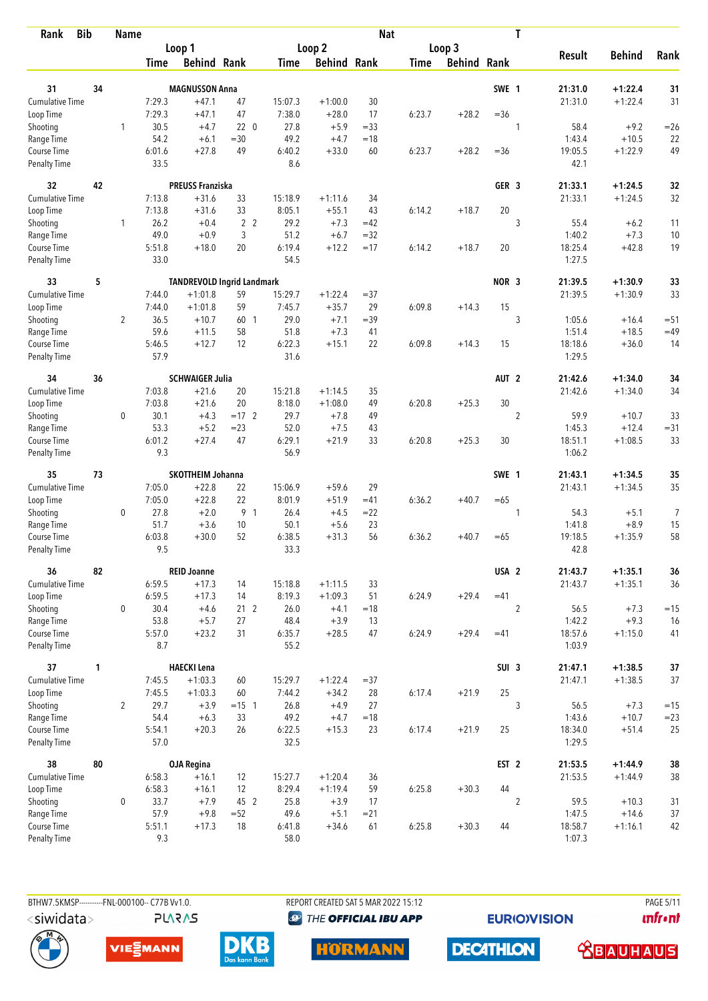| <b>Bib</b><br>Rank                 |    | <b>Name</b>    |                |                                   |                 |                |                      | <b>Nat</b> |             |                    |                  | T              |                   |               |          |
|------------------------------------|----|----------------|----------------|-----------------------------------|-----------------|----------------|----------------------|------------|-------------|--------------------|------------------|----------------|-------------------|---------------|----------|
|                                    |    |                |                | Loop 1                            |                 |                | Loop 2               |            |             | Loop 3             |                  |                |                   |               |          |
|                                    |    |                | Time           | <b>Behind Rank</b>                |                 | Time           | <b>Behind Rank</b>   |            | <b>Time</b> | <b>Behind Rank</b> |                  |                | <b>Result</b>     | <b>Behind</b> | Rank     |
| 31                                 | 34 |                |                | <b>MAGNUSSON Anna</b>             |                 |                |                      |            |             |                    | SWE 1            |                | 21:31.0           | $+1:22.4$     |          |
| <b>Cumulative Time</b>             |    |                | 7:29.3         | $+47.1$                           | 47              | 15:07.3        |                      | 30         |             |                    |                  |                |                   | $+1:22.4$     | 31<br>31 |
| Loop Time                          |    |                | 7:29.3         | $+47.1$                           | 47              | 7:38.0         | $+1:00.0$<br>$+28.0$ | 17         | 6:23.7      | $+28.2$            | $=36$            |                | 21:31.0           |               |          |
| Shooting                           |    | 1              | 30.5           | $+4.7$                            | 220             | 27.8           | $+5.9$               | $= 33$     |             |                    |                  | 1              | 58.4              | $+9.2$        | $=26$    |
| Range Time                         |    |                | 54.2           | $+6.1$                            | $=30$           | 49.2           | $+4.7$               | $=18$      |             |                    |                  |                | 1:43.4            | $+10.5$       | 22       |
| Course Time                        |    |                | 6:01.6         | $+27.8$                           | 49              | 6:40.2         | $+33.0$              | 60         | 6:23.7      | $+28.2$            | $=36$            |                | 19:05.5           | $+1:22.9$     | 49       |
| <b>Penalty Time</b>                |    |                | 33.5           |                                   |                 | 8.6            |                      |            |             |                    |                  |                | 42.1              |               |          |
| 32                                 | 42 |                |                | <b>PREUSS Franziska</b>           |                 |                |                      |            |             |                    | GER <sub>3</sub> |                | 21:33.1           | $+1:24.5$     | 32       |
| Cumulative Time                    |    |                | 7:13.8         | $+31.6$                           | 33              | 15:18.9        | $+1:11.6$            | 34         |             |                    |                  |                | 21:33.1           | $+1:24.5$     | 32       |
| Loop Time                          |    |                | 7:13.8         | $+31.6$                           | 33              | 8:05.1         | $+55.1$              | 43         | 6:14.2      | $+18.7$            | 20               |                |                   |               |          |
| Shooting                           |    | 1              | 26.2           | $+0.4$                            | 2 <sub>2</sub>  | 29.2           | $+7.3$               | $=42$      |             |                    |                  | 3              | 55.4              | $+6.2$        | 11       |
| Range Time                         |    |                | 49.0           | $+0.9$                            | 3               | 51.2           | $+6.7$               | $=32$      |             |                    |                  |                | 1:40.2            | $+7.3$        | 10       |
| Course Time                        |    |                | 5:51.8         | $+18.0$                           | 20              | 6:19.4         | $+12.2$              | $=17$      | 6:14.2      | $+18.7$            | 20               |                | 18:25.4           | $+42.8$       | 19       |
| Penalty Time                       |    |                | 33.0           |                                   |                 | 54.5           |                      |            |             |                    |                  |                | 1:27.5            |               |          |
| 33                                 | 5  |                |                | <b>TANDREVOLD Ingrid Landmark</b> |                 |                |                      |            |             |                    | NOR <sub>3</sub> |                | 21:39.5           | $+1:30.9$     | 33       |
| <b>Cumulative Time</b>             |    |                | 7:44.0         | $+1:01.8$                         | 59              | 15:29.7        | $+1:22.4$            | $= 37$     |             |                    |                  |                | 21:39.5           | $+1:30.9$     | 33       |
| Loop Time                          |    |                | 7:44.0         | $+1:01.8$                         | 59              | 7:45.7         | $+35.7$              | 29         | 6:09.8      | $+14.3$            | 15               |                |                   |               |          |
| Shooting                           |    | $\overline{2}$ | 36.5           | $+10.7$                           | 60 1            | 29.0           | $+7.1$               | $=39$      |             |                    |                  | 3              | 1:05.6            | $+16.4$       | $= 51$   |
| Range Time                         |    |                | 59.6           | $+11.5$                           | 58              | 51.8           | $+7.3$               | 41         |             |                    |                  |                | 1:51.4            | $+18.5$       | $=49$    |
| Course Time<br><b>Penalty Time</b> |    |                | 5:46.5<br>57.9 | $+12.7$                           | 12              | 6:22.3<br>31.6 | $+15.1$              | 22         | 6:09.8      | $+14.3$            | 15               |                | 18:18.6<br>1:29.5 | $+36.0$       | 14       |
| 34                                 | 36 |                |                | <b>SCHWAIGER Julia</b>            |                 |                |                      |            |             |                    | AUT <sub>2</sub> |                | 21:42.6           | $+1:34.0$     | 34       |
| <b>Cumulative Time</b>             |    |                | 7:03.8         | $+21.6$                           | 20              | 15:21.8        | $+1:14.5$            | 35         |             |                    |                  |                | 21:42.6           | $+1:34.0$     | 34       |
| Loop Time                          |    |                | 7:03.8         | $+21.6$                           | 20              | 8:18.0         | $+1:08.0$            | 49         | 6:20.8      | $+25.3$            | 30               |                |                   |               |          |
| Shooting                           |    | 0              | 30.1           | $+4.3$                            | $=17$ 2         | 29.7           | $+7.8$               | 49         |             |                    |                  | $\overline{2}$ | 59.9              | $+10.7$       | 33       |
| Range Time                         |    |                | 53.3           | $+5.2$                            | $= 23$          | 52.0           | $+7.5$               | 43         |             |                    |                  |                | 1:45.3            | $+12.4$       | $= 31$   |
| Course Time                        |    |                | 6:01.2         | $+27.4$                           | 47              | 6:29.1         | $+21.9$              | 33         | 6:20.8      | $+25.3$            | 30               |                | 18:51.1           | $+1:08.5$     | 33       |
| <b>Penalty Time</b>                |    |                | 9.3            |                                   |                 | 56.9           |                      |            |             |                    |                  |                | 1:06.2            |               |          |
| 35                                 | 73 |                |                | SKOTTHEIM Johanna                 |                 |                |                      |            |             |                    | SWE 1            |                | 21:43.1           | $+1:34.5$     | 35       |
| Cumulative Time                    |    |                | 7:05.0         | $+22.8$                           | 22              | 15:06.9        | $+59.6$              | 29         |             |                    |                  |                | 21:43.1           | $+1:34.5$     | 35       |
| Loop Time                          |    |                | 7:05.0         | $+22.8$                           | 22              | 8:01.9         | $+51.9$              | $=41$      | 6:36.2      | $+40.7$            | $=65$            |                |                   |               |          |
| Shooting                           |    | 0              | 27.8           | $+2.0$                            | 9 1             | 26.4           | $+4.5$               | $= 22$     |             |                    |                  | 1              | 54.3              | $+5.1$        | 7        |
| Range Time                         |    |                | 51.7           | $+3.6$                            | 10              | 50.1           | $+5.6$               | 23         |             |                    |                  |                | 1:41.8            | $+8.9$        | 15       |
| Course Time                        |    |                | 6:03.8         | $+30.0$                           | 52              | 6:38.5         | $+31.3$              | 56         | 6:36.2      | $+40.7$            | $=65$            |                | 19:18.5           | $+1:35.9$     | 58       |
| <b>Penalty Time</b>                |    |                | 9.5            |                                   |                 | 33.3           |                      |            |             |                    |                  |                | 42.8              |               |          |
| 36                                 | 82 |                |                | <b>REID Joanne</b>                |                 |                |                      |            |             |                    | USA <sub>2</sub> |                | 21:43.7           | $+1:35.1$     | 36       |
| Cumulative Time                    |    |                | 6:59.5         | $+17.3$                           | 14              | 15:18.8        | $+1:11.5$            | 33         |             |                    |                  |                | 21:43.7           | $+1:35.1$     | 36       |
| Loop Time                          |    |                | 6:59.5         | $+17.3$                           | 14              | 8:19.3         | $+1:09.3$            | 51         | 6:24.9      | $+29.4$            | $=41$            |                |                   |               |          |
| Shooting                           |    | 0              | 30.4           | $+4.6$                            | 21 <sub>2</sub> | 26.0           | $+4.1$               | $=18$      |             |                    |                  | $\overline{2}$ | 56.5              | $+7.3$        | $=15$    |
| Range Time                         |    |                | 53.8           | $+5.7$                            | 27              | 48.4           | $+3.9$               | 13         |             |                    |                  |                | 1:42.2            | $+9.3$        | 16       |
| Course Time<br>Penalty Time        |    |                | 5:57.0<br>8.7  | $+23.2$                           | 31              | 6:35.7<br>55.2 | $+28.5$              | 47         | 6:24.9      | $+29.4$            | $=41$            |                | 18:57.6<br>1:03.9 | $+1:15.0$     | 41       |
| 37                                 | 1  |                |                | <b>HAECKI Lena</b>                |                 |                |                      |            |             |                    | SUI <sub>3</sub> |                | 21:47.1           | $+1:38.5$     | $37$     |
| Cumulative Time                    |    |                | 7:45.5         | $+1:03.3$                         | 60              | 15:29.7        | $+1:22.4$            | $= 37$     |             |                    |                  |                | 21:47.1           | $+1:38.5$     | 37       |
| Loop Time                          |    |                | 7:45.5         | $+1:03.3$                         | 60              | 7:44.2         | $+34.2$              | 28         | 6:17.4      | $+21.9$            | 25               |                |                   |               |          |
| Shooting                           |    | $\overline{2}$ | 29.7           | $+3.9$                            | $= 15$ 1        | 26.8           | $+4.9$               | 27         |             |                    |                  | 3              | 56.5              | $+7.3$        | $=15$    |
| Range Time                         |    |                | 54.4           | $+6.3$                            | 33              | 49.2           | $+4.7$               | $=18$      |             |                    |                  |                | 1:43.6            | $+10.7$       | $= 23$   |
| Course Time                        |    |                | 5:54.1         | $+20.3$                           | 26              | 6:22.5         | $+15.3$              | 23         | 6:17.4      | $+21.9$            | 25               |                | 18:34.0           | $+51.4$       | 25       |
| Penalty Time                       |    |                | 57.0           |                                   |                 | 32.5           |                      |            |             |                    |                  |                | 1:29.5            |               |          |
| 38                                 | 80 |                |                | <b>OJA Regina</b>                 |                 |                |                      |            |             |                    | EST <sub>2</sub> |                | 21:53.5           | $+1:44.9$     | 38       |
| Cumulative Time                    |    |                | 6:58.3         | $+16.1$                           | 12              | 15:27.7        | $+1:20.4$            | 36         |             |                    |                  |                | 21:53.5           | $+1:44.9$     | 38       |
| Loop Time                          |    |                | 6:58.3         | $+16.1$                           | 12              | 8:29.4         | $+1:19.4$            | 59         | 6:25.8      | $+30.3$            | 44               |                |                   |               |          |
| Shooting                           |    | 0              | 33.7           | $+7.9$                            | 45 2            | 25.8           | $+3.9$               | 17         |             |                    |                  | $\overline{2}$ | 59.5              | $+10.3$       | 31       |
| Range Time                         |    |                | 57.9           | $+9.8$                            | $=52$           | 49.6           | $+5.1$               | $= 21$     |             |                    |                  |                | 1:47.5            | $+14.6$       | 37       |
| Course Time                        |    |                | 5:51.1         | $+17.3$                           | 18              | 6:41.8         | $+34.6$              | 61         | 6:25.8      | $+30.3$            | 44               |                | 18:58.7           | $+1:16.1$     | 42       |
| <b>Penalty Time</b>                |    |                | 9.3            |                                   |                 | 58.0           |                      |            |             |                    |                  |                | 1:07.3            |               |          |

BTHW7.5KMSP----------FNL-000100-- C77B Vv1.0. REPORT CREATED SAT 5 MAR 2022 15:12 PAGE 5/11

**<sup><sup>3</sup>** THE OFFICIAL IBU APP</sup>

**EURIOVISION** 

*<u><u>Infront</u>*</u>





**PLARAS** 





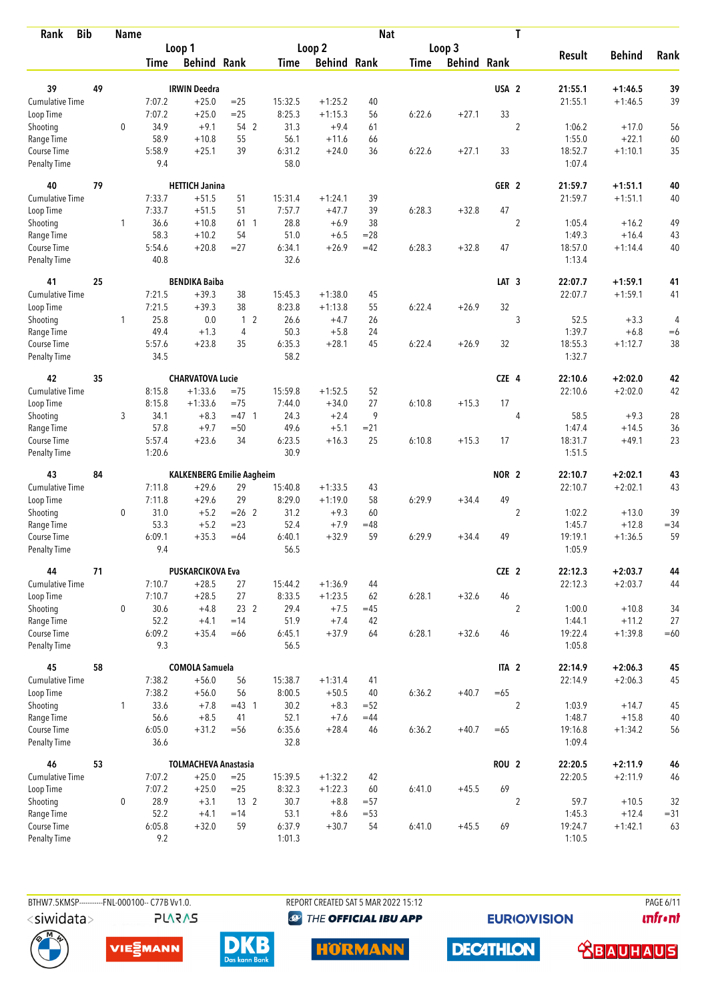| <b>Bib</b><br>Rank        |    | <b>Name</b>  |             |                                  |                 |                   |                     | <b>Nat</b> |             |                    |                  | T              |                  |                    |          |
|---------------------------|----|--------------|-------------|----------------------------------|-----------------|-------------------|---------------------|------------|-------------|--------------------|------------------|----------------|------------------|--------------------|----------|
|                           |    |              |             | Loop 1                           |                 |                   | Loop 2              |            |             | Loop 3             |                  |                |                  |                    |          |
|                           |    |              | <b>Time</b> | <b>Behind Rank</b>               |                 | Time              | <b>Behind Rank</b>  |            | <b>Time</b> | <b>Behind Rank</b> |                  |                | <b>Result</b>    | <b>Behind</b>      | Rank     |
| 39                        | 49 |              |             | <b>IRWIN Deedra</b>              |                 |                   |                     |            |             |                    | USA <sub>2</sub> |                | 21:55.1          | $+1:46.5$          |          |
| <b>Cumulative Time</b>    |    |              | 7:07.2      | $+25.0$                          | $=25$           |                   |                     | 40         |             |                    |                  |                | 21:55.1          | $+1:46.5$          | 39<br>39 |
|                           |    |              | 7:07.2      | $+25.0$                          | $=25$           | 15:32.5<br>8:25.3 | $+1:25.2$           |            | 6:22.6      | $+27.1$            | 33               |                |                  |                    |          |
| Loop Time                 |    | $\mathbf 0$  | 34.9        | $+9.1$                           | 54 2            | 31.3              | $+1:15.3$<br>$+9.4$ | 56         |             |                    |                  | $\overline{2}$ |                  |                    |          |
| Shooting                  |    |              | 58.9        | $+10.8$                          | 55              | 56.1              |                     | 61         |             |                    |                  |                | 1:06.2<br>1:55.0 | $+17.0$<br>$+22.1$ | 56       |
| Range Time<br>Course Time |    |              | 5:58.9      | $+25.1$                          | 39              | 6:31.2            | $+11.6$<br>$+24.0$  | 66<br>36   | 6:22.6      | $+27.1$            | 33               |                | 18:52.7          | $+1:10.1$          | 60<br>35 |
| <b>Penalty Time</b>       |    |              | 9.4         |                                  |                 | 58.0              |                     |            |             |                    |                  |                | 1:07.4           |                    |          |
| 40                        | 79 |              |             | <b>HETTICH Janina</b>            |                 |                   |                     |            |             |                    | GER <sub>2</sub> |                | 21:59.7          | $+1:51.1$          | 40       |
| Cumulative Time           |    |              | 7:33.7      | $+51.5$                          | 51              | 15:31.4           | $+1:24.1$           | 39         |             |                    |                  |                | 21:59.7          | $+1:51.1$          | 40       |
| Loop Time                 |    |              | 7:33.7      | $+51.5$                          | 51              | 7:57.7            | $+47.7$             | 39         | 6:28.3      | $+32.8$            | 47               |                |                  |                    |          |
| Shooting                  |    | 1            | 36.6        | $+10.8$                          | 61 1            | 28.8              | $+6.9$              | 38         |             |                    |                  | $\overline{2}$ | 1:05.4           | $+16.2$            | 49       |
| Range Time                |    |              | 58.3        | $+10.2$                          | 54              | 51.0              | $+6.5$              | $= 28$     |             |                    |                  |                | 1:49.3           | $+16.4$            | 43       |
| Course Time               |    |              | 5:54.6      | $+20.8$                          | $= 27$          | 6:34.1            | $+26.9$             | $=42$      | 6:28.3      | $+32.8$            | 47               |                | 18:57.0          | $+1:14.4$          | 40       |
| <b>Penalty Time</b>       |    |              | 40.8        |                                  |                 | 32.6              |                     |            |             |                    |                  |                | 1:13.4           |                    |          |
| 41                        | 25 |              |             | <b>BENDIKA Baiba</b>             |                 |                   |                     |            |             |                    | LAT <sub>3</sub> |                | 22:07.7          | $+1:59.1$          | 41       |
| Cumulative Time           |    |              | 7:21.5      | $+39.3$                          | 38              | 15:45.3           | $+1:38.0$           | 45         |             |                    |                  |                | 22:07.7          | $+1:59.1$          | 41       |
| Loop Time                 |    |              | 7:21.5      | $+39.3$                          | 38              | 8:23.8            | $+1:13.8$           | 55         | 6:22.4      | $+26.9$            | 32               |                |                  |                    |          |
| Shooting                  |    | $\mathbf{1}$ | 25.8        | 0.0                              | 1 <sub>2</sub>  | 26.6              | $+4.7$              | 26         |             |                    |                  | 3              | 52.5             | $+3.3$             | 4        |
| Range Time                |    |              | 49.4        | $+1.3$                           | $\overline{4}$  | 50.3              | $+5.8$              | 24         |             |                    |                  |                | 1:39.7           | $+6.8$             | $=6$     |
| Course Time               |    |              | 5:57.6      | $+23.8$                          | 35              | 6:35.3            | $+28.1$             | 45         | 6:22.4      | $+26.9$            | 32               |                | 18:55.3          | $+1:12.7$          | 38       |
| Penalty Time              |    |              | 34.5        |                                  |                 | 58.2              |                     |            |             |                    |                  |                | 1:32.7           |                    |          |
| 42                        | 35 |              |             | <b>CHARVATOVA Lucie</b>          |                 |                   |                     |            |             |                    | CZE 4            |                | 22:10.6          | $+2:02.0$          | 42       |
| <b>Cumulative Time</b>    |    |              | 8:15.8      | $+1:33.6$                        | $=75$           | 15:59.8           | $+1:52.5$           | 52         |             |                    |                  |                | 22:10.6          | $+2:02.0$          | 42       |
| Loop Time                 |    |              | 8:15.8      | $+1:33.6$                        | $=75$           | 7:44.0            | $+34.0$             | 27         | 6:10.8      | $+15.3$            | 17               |                |                  |                    |          |
| Shooting                  |    | 3            | 34.1        | $+8.3$                           | $=47$ 1         | 24.3              | $+2.4$              | 9          |             |                    |                  | 4              | 58.5             | $+9.3$             | 28       |
| Range Time                |    |              | 57.8        | $+9.7$                           | $=50$           | 49.6              | $+5.1$              | $= 21$     |             |                    |                  |                | 1:47.4           | $+14.5$            | 36       |
| Course Time               |    |              | 5:57.4      | $+23.6$                          | 34              | 6:23.5            | $+16.3$             | 25         | 6:10.8      | $+15.3$            | 17               |                | 18:31.7          | $+49.1$            | 23       |
| <b>Penalty Time</b>       |    |              | 1:20.6      |                                  |                 | 30.9              |                     |            |             |                    |                  |                | 1:51.5           |                    |          |
| 43                        | 84 |              |             | <b>KALKENBERG Emilie Aagheim</b> |                 |                   |                     |            |             |                    | NOR <sub>2</sub> |                | 22:10.7          | $+2:02.1$          | 43       |
| Cumulative Time           |    |              | 7:11.8      | $+29.6$                          | 29              | 15:40.8           | $+1:33.5$           | 43         |             |                    |                  |                | 22:10.7          | $+2:02.1$          | 43       |
| Loop Time                 |    |              | 7:11.8      | $+29.6$                          | 29              | 8:29.0            | $+1:19.0$           | 58         | 6:29.9      | $+34.4$            | 49               |                |                  |                    |          |
| Shooting                  |    | 0            | 31.0        | $+5.2$                           | $= 26$ 2        | 31.2              | $+9.3$              | 60         |             |                    |                  | $\overline{2}$ | 1:02.2           | $+13.0$            | 39       |
| Range Time                |    |              | 53.3        | $+5.2$                           | $= 23$          | 52.4              | $+7.9$              | $=48$      |             |                    |                  |                | 1:45.7           | $+12.8$            | $= 34$   |
| Course Time               |    |              | 6:09.1      | $+35.3$                          | $=64$           | 6:40.1            | $+32.9$             | 59         | 6:29.9      | $+34.4$            | 49               |                | 19:19.1          | $+1:36.5$          | 59       |
| <b>Penalty Time</b>       |    |              | 9.4         |                                  |                 | 56.5              |                     |            |             |                    |                  |                | 1:05.9           |                    |          |
| 44                        | 71 |              |             | <b>PUSKARCIKOVA Eva</b>          |                 |                   |                     |            |             |                    | CZE 2            |                | 22:12.3          | $+2:03.7$          | 44       |
| <b>Cumulative Time</b>    |    |              | 7:10.7      | $+28.5$                          | 27              | 15:44.2           | $+1:36.9$           | 44         |             |                    |                  |                | 22:12.3          | $+2:03.7$          | 44       |
| Loop Time                 |    |              | 7:10.7      | $+28.5$                          | 27              | 8:33.5            | $+1:23.5$           | 62         | 6:28.1      | $+32.6$            | 46               |                |                  |                    |          |
| Shooting                  |    | 0            | 30.6        | $+4.8$                           | 23 2            | 29.4              | $+7.5$              | $=45$      |             |                    |                  | $\overline{2}$ | 1:00.0           | $+10.8$            | 34       |
| Range Time                |    |              | 52.2        | $+4.1$                           | $=14$           | 51.9              | $+7.4$              | 42         |             |                    |                  |                | 1:44.1           | $+11.2$            | 27       |
| Course Time               |    |              | 6:09.2      | $+35.4$                          | $=66$           | 6:45.1            | $+37.9$             | 64         | 6:28.1      | $+32.6$            | 46               |                | 19:22.4          | $+1:39.8$          | $=60$    |
| Penalty Time              |    |              | 9.3         |                                  |                 | 56.5              |                     |            |             |                    |                  |                | 1:05.8           |                    |          |
| 45                        | 58 |              |             | <b>COMOLA Samuela</b>            |                 |                   |                     |            |             |                    | ITA <sub>2</sub> |                | 22:14.9          | $+2:06.3$          | 45       |
| <b>Cumulative Time</b>    |    |              | 7:38.2      | $+56.0$                          | 56              | 15:38.7           | $+1:31.4$           | 41         |             |                    |                  |                | 22:14.9          | $+2:06.3$          | 45       |
| Loop Time                 |    |              | 7:38.2      | $+56.0$                          | 56              | 8:00.5            | $+50.5$             | 40         | 6:36.2      | $+40.7$            | $=65$            |                |                  |                    |          |
| Shooting                  |    | $\mathbf{1}$ | 33.6        | $+7.8$                           | $=43$ 1         | 30.2              | $+8.3$              | $=52$      |             |                    |                  | $\overline{2}$ | 1:03.9           | $+14.7$            | 45       |
| Range Time                |    |              | 56.6        | $+8.5$                           | 41              | 52.1              | $+7.6$              | $=44$      |             |                    |                  |                | 1:48.7           | $+15.8$            | $40\,$   |
| Course Time               |    |              | 6:05.0      | $+31.2$                          | $= 56$          | 6:35.6            | $+28.4$             | 46         | 6:36.2      | $+40.7$            | $=65$            |                | 19:16.8          | $+1:34.2$          | 56       |
| Penalty Time              |    |              | 36.6        |                                  |                 | 32.8              |                     |            |             |                    |                  |                | 1:09.4           |                    |          |
| 46                        | 53 |              |             | <b>TOLMACHEVA Anastasia</b>      |                 |                   |                     |            |             |                    | <b>ROU 2</b>     |                | 22:20.5          | $+2:11.9$          | 46       |
| Cumulative Time           |    |              | 7:07.2      | $+25.0$                          | $=25$           | 15:39.5           | $+1:32.2$           | 42         |             |                    |                  |                | 22:20.5          | $+2:11.9$          | 46       |
| Loop Time                 |    |              | 7:07.2      | $+25.0$                          | $=25$           | 8:32.3            | $+1:22.3$           | 60         | 6:41.0      | $+45.5$            | 69               |                |                  |                    |          |
| Shooting                  |    | 0            | 28.9        | $+3.1$                           | 13 <sup>2</sup> | 30.7              | $+8.8$              | $= 57$     |             |                    |                  | $\overline{2}$ | 59.7             | $+10.5$            | 32       |
| Range Time                |    |              | 52.2        | $+4.1$                           | $=14$           | 53.1              | $+8.6$              | $= 53$     |             |                    |                  |                | 1:45.3           | $+12.4$            | $= 31$   |
| Course Time               |    |              | 6:05.8      | $+32.0$                          | 59              | 6:37.9            | $+30.7$             | 54         | 6:41.0      | $+45.5$            | 69               |                | 19:24.7          | $+1:42.1$          | 63       |
| Penalty Time              |    |              | 9.2         |                                  |                 | 1:01.3            |                     |            |             |                    |                  |                | 1:10.5           |                    |          |

BTHW7.5KMSP----------FNL-000100-- C77B Vv1.0. **PLARAS**  REPORT CREATED SAT 5 MAR 2022 15:12

**<sup><sup>3</sup>** THE OFFICIAL IBU APP</sup>

**EURIOVISION** 

PAGE 6/11 *<u><u>Infront</u>*</u>









**DECATHLON <u>CBAUHAUS</u>**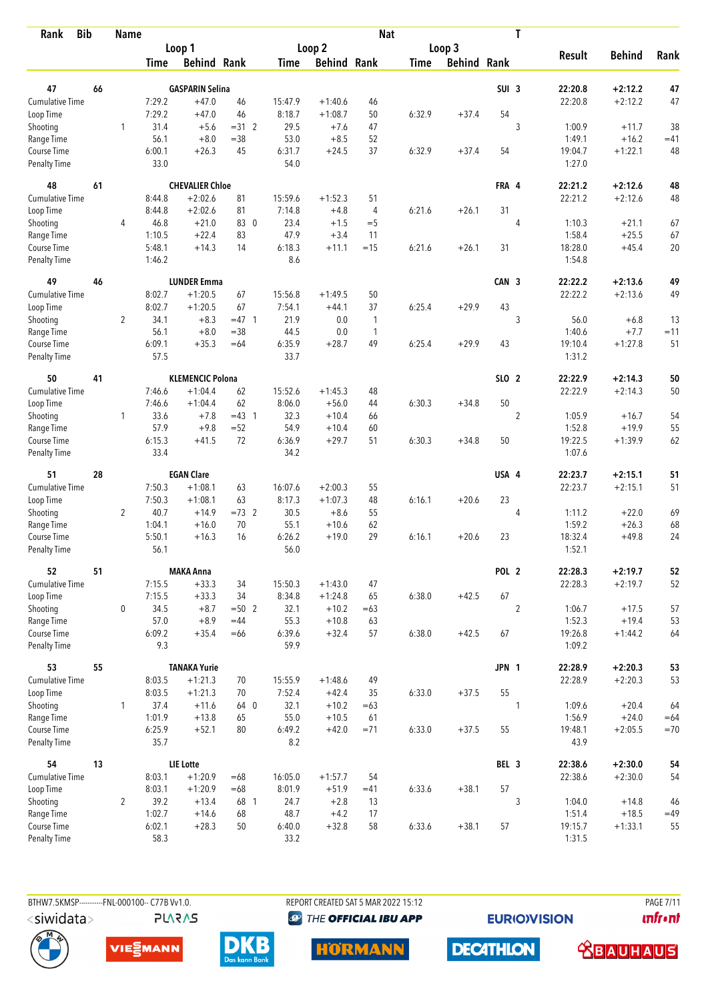| <b>Bib</b><br>Rank                 |    | <b>Name</b>    |                |                         |         |                |                    | <b>Nat</b>     |             |                    |                  | T              |                   |               |       |
|------------------------------------|----|----------------|----------------|-------------------------|---------|----------------|--------------------|----------------|-------------|--------------------|------------------|----------------|-------------------|---------------|-------|
|                                    |    |                |                | Loop 1                  |         |                | Loop 2             |                |             | Loop 3             |                  |                |                   |               |       |
|                                    |    |                | Time           | <b>Behind Rank</b>      |         | Time           | <b>Behind Rank</b> |                | <b>Time</b> | <b>Behind Rank</b> |                  |                | <b>Result</b>     | <b>Behind</b> | Rank  |
| 47                                 | 66 |                |                | <b>GASPARIN Selina</b>  |         |                |                    |                |             |                    | SUI <sub>3</sub> |                | 22:20.8           | $+2:12.2$     | 47    |
| <b>Cumulative Time</b>             |    |                | 7:29.2         | $+47.0$                 | 46      | 15:47.9        | $+1:40.6$          | 46             |             |                    |                  |                | 22:20.8           | $+2:12.2$     | 47    |
| Loop Time                          |    |                | 7:29.2         | $+47.0$                 | 46      | 8:18.7         | $+1:08.7$          | 50             | 6:32.9      | $+37.4$            | 54               |                |                   |               |       |
| Shooting                           |    | 1              | 31.4           | $+5.6$                  | $=31.2$ | 29.5           | $+7.6$             | 47             |             |                    |                  | 3              | 1:00.9            | $+11.7$       | 38    |
| Range Time                         |    |                | 56.1           | $+8.0$                  | $= 38$  | 53.0           | $+8.5$             | 52             |             |                    |                  |                | 1:49.1            | $+16.2$       | $=41$ |
| Course Time                        |    |                | 6:00.1         | $+26.3$                 | 45      | 6:31.7         | $+24.5$            | 37             | 6:32.9      | $+37.4$            | 54               |                | 19:04.7           | $+1:22.1$     | 48    |
| <b>Penalty Time</b>                |    |                | 33.0           |                         |         | 54.0           |                    |                |             |                    |                  |                | 1:27.0            |               |       |
| 48                                 | 61 |                |                | <b>CHEVALIER Chloe</b>  |         |                |                    |                |             |                    | FRA 4            |                | 22:21.2           | $+2:12.6$     | 48    |
| Cumulative Time                    |    |                | 8:44.8         | $+2:02.6$               | 81      | 15:59.6        | $+1:52.3$          | 51             |             |                    |                  |                | 22:21.2           | $+2:12.6$     | 48    |
| Loop Time                          |    |                | 8:44.8         | $+2:02.6$               | 81      | 7:14.8         | $+4.8$             | $\overline{4}$ | 6:21.6      | $+26.1$            | 31               |                |                   |               |       |
| Shooting                           |    | 4              | 46.8           | $+21.0$                 | 83 0    | 23.4           | $+1.5$             | $=$ 5          |             |                    |                  | 4              | 1:10.3            | $+21.1$       | 67    |
| Range Time                         |    |                | 1:10.5         | $+22.4$                 | 83      | 47.9           | $+3.4$             | 11             |             |                    |                  |                | 1:58.4            | $+25.5$       | 67    |
| Course Time                        |    |                | 5:48.1         | $+14.3$                 | 14      | 6:18.3         | $+11.1$            | $=15$          | 6:21.6      | $+26.1$            | 31               |                | 18:28.0           | $+45.4$       | 20    |
| Penalty Time                       |    |                | 1:46.2         |                         |         | 8.6            |                    |                |             |                    |                  |                | 1:54.8            |               |       |
| 49                                 | 46 |                |                | <b>LUNDER Emma</b>      |         |                |                    |                |             |                    | CAN 3            |                | 22:22.2           | $+2:13.6$     | 49    |
| Cumulative Time                    |    |                | 8:02.7         | $+1:20.5$               | 67      | 15:56.8        | $+1:49.5$          | 50             |             |                    |                  |                | 22:22.2           | $+2:13.6$     | 49    |
| Loop Time                          |    |                | 8:02.7         | $+1:20.5$               | 67      | 7:54.1         | $+44.1$            | 37             | 6:25.4      | $+29.9$            | 43               |                |                   |               |       |
| Shooting                           |    | $\overline{2}$ | 34.1           | $+8.3$                  | $=47$ 1 | 21.9           | 0.0                | $\mathbf{1}$   |             |                    |                  | 3              | 56.0              | $+6.8$        | 13    |
| Range Time                         |    |                | 56.1           | $+8.0$                  | $= 38$  | 44.5           | 0.0                | $\mathbf{1}$   |             |                    |                  |                | 1:40.6            | $+7.7$        | $=11$ |
| Course Time                        |    |                | 6:09.1<br>57.5 | $+35.3$                 | $=64$   | 6:35.9<br>33.7 | $+28.7$            | 49             | 6:25.4      | $+29.9$            | 43               |                | 19:10.4<br>1:31.2 | $+1:27.8$     | 51    |
| Penalty Time                       |    |                |                |                         |         |                |                    |                |             |                    |                  |                |                   |               |       |
| 50                                 | 41 |                |                | <b>KLEMENCIC Polona</b> |         |                |                    |                |             |                    | SLO 2            |                | 22:22.9           | $+2:14.3$     | 50    |
| <b>Cumulative Time</b>             |    |                | 7:46.6         | $+1:04.4$               | 62      | 15:52.6        | $+1:45.3$          | 48             |             |                    |                  |                | 22:22.9           | $+2:14.3$     | 50    |
| Loop Time                          |    |                | 7:46.6         | $+1:04.4$               | 62      | 8:06.0         | $+56.0$            | 44             | 6:30.3      | $+34.8$            | 50               |                |                   |               |       |
| Shooting                           |    | 1              | 33.6           | $+7.8$                  | $=43$ 1 | 32.3           | $+10.4$            | 66             |             |                    |                  | $\overline{2}$ | 1:05.9            | $+16.7$       | 54    |
| Range Time                         |    |                | 57.9           | $+9.8$                  | $= 52$  | 54.9           | $+10.4$            | 60             |             |                    |                  |                | 1:52.8            | $+19.9$       | 55    |
| Course Time<br><b>Penalty Time</b> |    |                | 6:15.3<br>33.4 | $+41.5$                 | 72      | 6:36.9<br>34.2 | $+29.7$            | 51             | 6:30.3      | $+34.8$            | 50               |                | 19:22.5<br>1:07.6 | $+1:39.9$     | 62    |
|                                    |    |                |                |                         |         |                |                    |                |             |                    |                  |                |                   |               |       |
| 51                                 | 28 |                |                | <b>EGAN Clare</b>       |         |                |                    |                |             |                    | USA 4            |                | 22:23.7           | $+2:15.1$     | 51    |
| Cumulative Time                    |    |                | 7:50.3         | $+1:08.1$               | 63      | 16:07.6        | $+2:00.3$          | 55             |             |                    |                  |                | 22:23.7           | $+2:15.1$     | 51    |
| Loop Time                          |    |                | 7:50.3         | $+1:08.1$               | 63      | 8:17.3         | $+1:07.3$          | 48             | 6:16.1      | $+20.6$            | 23               |                |                   |               |       |
| Shooting                           |    | $\overline{2}$ | 40.7           | $+14.9$                 | $=73$ 2 | 30.5           | $+8.6$             | 55             |             |                    |                  | 4              | 1:11.2            | $+22.0$       | 69    |
| Range Time                         |    |                | 1:04.1         | $+16.0$                 | 70      | 55.1           | $+10.6$            | 62             |             |                    |                  |                | 1:59.2            | $+26.3$       | 68    |
| Course Time                        |    |                | 5:50.1<br>56.1 | $+16.3$                 | 16      | 6:26.2<br>56.0 | $+19.0$            | 29             | 6:16.1      | $+20.6$            | 23               |                | 18:32.4<br>1:52.1 | $+49.8$       | 24    |
| <b>Penalty Time</b>                |    |                |                |                         |         |                |                    |                |             |                    |                  |                |                   |               |       |
| 52                                 | 51 |                |                | <b>MAKA Anna</b>        |         |                |                    |                |             |                    | POL 2            |                | 22:28.3           | $+2:19.7$     | 52    |
| Cumulative Time                    |    |                | 7:15.5         | $+33.3$                 | 34      | 15:50.3        | $+1:43.0$          | 47             |             |                    |                  |                | 22:28.3           | $+2:19.7$     | 52    |
| Loop Time                          |    |                | 7:15.5         | $+33.3$                 | 34      | 8:34.8         | $+1:24.8$          | 65             | 6:38.0      | $+42.5$            | 67               |                |                   |               |       |
| Shooting                           |    | 0              | 34.5           | $+8.7$                  | $= 502$ | 32.1           | $+10.2$            | $=63$          |             |                    |                  | $\overline{2}$ | 1:06.7            | $+17.5$       | 57    |
| Range Time                         |    |                | 57.0           | $+8.9$                  | $=44$   | 55.3           | $+10.8$            | 63             |             |                    |                  |                | 1:52.3            | $+19.4$       | 53    |
| Course Time<br>Penalty Time        |    |                | 6:09.2<br>9.3  | $+35.4$                 | $=66$   | 6:39.6<br>59.9 | $+32.4$            | 57             | 6:38.0      | $+42.5$            | 67               |                | 19:26.8<br>1:09.2 | $+1:44.2$     | 64    |
| 53                                 | 55 |                |                | <b>TANAKA Yurie</b>     |         |                |                    |                |             |                    | JPN 1            |                | 22:28.9           | $+2:20.3$     | 53    |
| Cumulative Time                    |    |                | 8:03.5         | $+1:21.3$               | 70      | 15:55.9        | $+1:48.6$          | 49             |             |                    |                  |                | 22:28.9           | $+2:20.3$     | 53    |
| Loop Time                          |    |                | 8:03.5         | $+1:21.3$               | 70      | 7:52.4         | $+42.4$            | 35             | 6:33.0      | $+37.5$            | 55               |                |                   |               |       |
| Shooting                           |    | $\mathbf{1}$   | 37.4           | $+11.6$                 | 64 0    | 32.1           | $+10.2$            | $=63$          |             |                    |                  | 1              | 1:09.6            | $+20.4$       | 64    |
| Range Time                         |    |                | 1:01.9         | $+13.8$                 | 65      | 55.0           | $+10.5$            | 61             |             |                    |                  |                | 1:56.9            | $+24.0$       | $=64$ |
| Course Time                        |    |                | 6:25.9         | $+52.1$                 | 80      | 6:49.2         | $+42.0$            | $= 71$         | 6:33.0      | $+37.5$            | 55               |                | 19:48.1           | $+2:05.5$     | $=70$ |
| Penalty Time                       |    |                | 35.7           |                         |         | 8.2            |                    |                |             |                    |                  |                | 43.9              |               |       |
| 54                                 | 13 |                |                | <b>LIE</b> Lotte        |         |                |                    |                |             |                    | BEL 3            |                | 22:38.6           | $+2:30.0$     | 54    |
| Cumulative Time                    |    |                | 8:03.1         | $+1:20.9$               | $=68$   | 16:05.0        | $+1:57.7$          | 54             |             |                    |                  |                | 22:38.6           | $+2:30.0$     | 54    |
| Loop Time                          |    |                | 8:03.1         | $+1:20.9$               | $=68$   | 8:01.9         | $+51.9$            | $=41$          | 6:33.6      | $+38.1$            | 57               |                |                   |               |       |
| Shooting                           |    | $\overline{2}$ | 39.2           | $+13.4$                 | 68 1    | 24.7           | $+2.8$             | 13             |             |                    |                  | 3              | 1:04.0            | $+14.8$       | 46    |
| Range Time                         |    |                | 1:02.7         | $+14.6$                 | 68      | 48.7           | $+4.2$             | 17             |             |                    |                  |                | 1:51.4            | $+18.5$       | $=49$ |
| Course Time                        |    |                | 6:02.1         | $+28.3$                 | 50      | 6:40.0         | $+32.8$            | 58             | 6:33.6      | $+38.1$            | 57               |                | 19:15.7           | $+1:33.1$     | 55    |
| <b>Penalty Time</b>                |    |                | 58.3           |                         |         | 33.2           |                    |                |             |                    |                  |                | 1:31.5            |               |       |



**PLARAS** 

BTHW7.5KMSP----------FNL-000100-- C77B Vv1.0. REPORT CREATED SAT 5 MAR 2022 15:12 PAGE 7/11 **<sup><sup>3</sup>** THE OFFICIAL IBU APP</sup>

**EURIOVISION** 

*<u><u>Infront</u>*</u>











 **<u>CBAUHAUS</u>**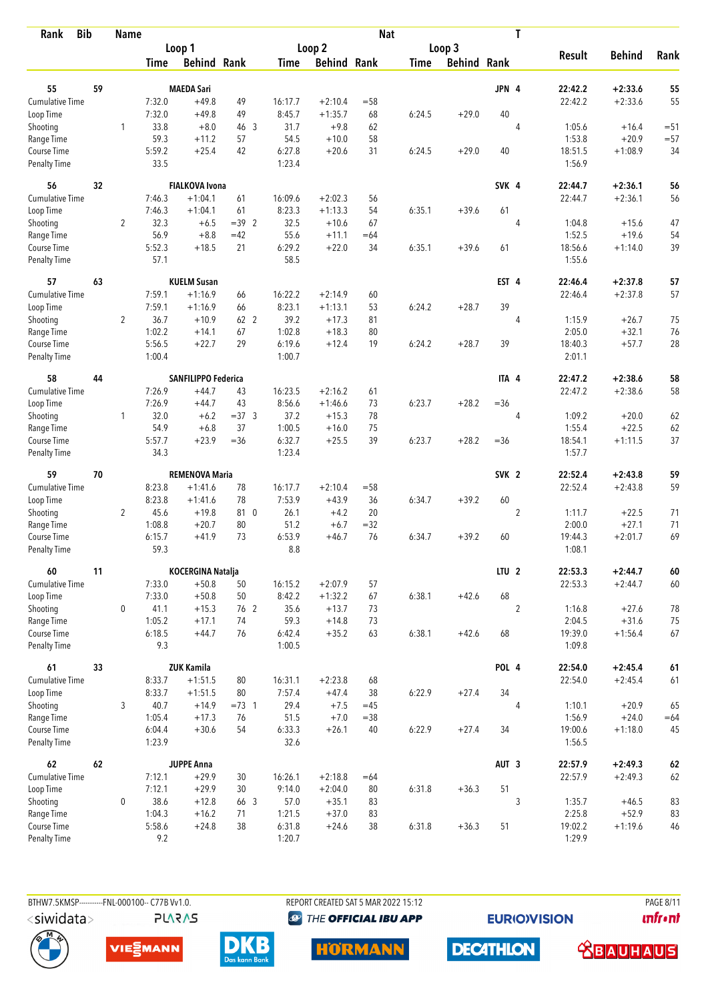| <b>Bib</b><br>Rank          |    | <b>Name</b>    |               |                       |         |                  |                    | <b>Nat</b> |             |                    |                  | T              |                   |               |        |
|-----------------------------|----|----------------|---------------|-----------------------|---------|------------------|--------------------|------------|-------------|--------------------|------------------|----------------|-------------------|---------------|--------|
|                             |    |                |               | Loop 1                |         |                  | Loop <sub>2</sub>  |            |             | Loop 3             |                  |                |                   |               |        |
|                             |    |                | <b>Time</b>   | <b>Behind Rank</b>    |         | <b>Time</b>      | <b>Behind Rank</b> |            | <b>Time</b> | <b>Behind Rank</b> |                  |                | <b>Result</b>     | <b>Behind</b> | Rank   |
| 55                          | 59 |                |               | <b>MAEDA Sari</b>     |         |                  |                    |            |             |                    | JPN 4            |                | 22:42.2           | $+2:33.6$     | 55     |
| Cumulative Time             |    |                | 7:32.0        | $+49.8$               | 49      | 16:17.7          | $+2:10.4$          | $=58$      |             |                    |                  |                | 22:42.2           | $+2:33.6$     | 55     |
| Loop Time                   |    |                | 7:32.0        | $+49.8$               | 49      | 8:45.7           | $+1:35.7$          | 68         | 6:24.5      | $+29.0$            | 40               |                |                   |               |        |
| Shooting                    |    | 1              | 33.8          | $+8.0$                | 46 3    | 31.7             | $+9.8$             | 62         |             |                    |                  | 4              | 1:05.6            | $+16.4$       | $=51$  |
| Range Time                  |    |                | 59.3          | $+11.2$               | 57      | 54.5             | $+10.0$            | 58         |             |                    |                  |                | 1:53.8            | $+20.9$       | $= 57$ |
| Course Time                 |    |                | 5:59.2        | $+25.4$               | 42      | 6:27.8           | $+20.6$            | 31         | 6:24.5      | $+29.0$            | 40               |                | 18:51.5           | $+1:08.9$     | 34     |
| <b>Penalty Time</b>         |    |                | 33.5          |                       |         | 1:23.4           |                    |            |             |                    |                  |                | 1:56.9            |               |        |
| 56                          | 32 |                |               | <b>FIALKOVA Ivona</b> |         |                  |                    |            |             |                    | SVK 4            |                | 22:44.7           | $+2:36.1$     | 56     |
| Cumulative Time             |    |                | 7:46.3        | $+1:04.1$             | 61      | 16:09.6          | $+2:02.3$          | 56         |             |                    |                  |                | 22:44.7           | $+2:36.1$     | 56     |
| Loop Time                   |    |                | 7:46.3        | $+1:04.1$             | 61      | 8:23.3           | $+1:13.3$          | 54         | 6:35.1      | $+39.6$            | 61               |                |                   |               |        |
| Shooting                    |    | $\overline{2}$ | 32.3          | $+6.5$                | $=39.2$ | 32.5             | $+10.6$            | 67         |             |                    |                  | $\overline{4}$ | 1:04.8            | $+15.6$       | 47     |
| Range Time                  |    |                | 56.9          | $+8.8$                | $=42$   | 55.6             | $+11.1$            | $=64$      |             |                    |                  |                | 1:52.5            | $+19.6$       | 54     |
| Course Time                 |    |                | 5:52.3        | $+18.5$               | 21      | 6:29.2           | $+22.0$            | 34         | 6:35.1      | $+39.6$            | 61               |                | 18:56.6           | $+1:14.0$     | 39     |
| <b>Penalty Time</b>         |    |                | 57.1          |                       |         | 58.5             |                    |            |             |                    |                  |                | 1:55.6            |               |        |
| 57                          | 63 |                |               | <b>KUELM Susan</b>    |         |                  |                    |            |             |                    | EST 4            |                | 22:46.4           | $+2:37.8$     | 57     |
| Cumulative Time             |    |                | 7:59.1        | $+1:16.9$             | 66      | 16:22.2          | $+2:14.9$          | 60         |             |                    |                  |                | 22:46.4           | $+2:37.8$     | 57     |
| Loop Time                   |    |                | 7:59.1        | $+1:16.9$             | 66      | 8:23.1           | $+1:13.1$          | 53         | 6:24.2      | $+28.7$            | 39               |                |                   |               |        |
| Shooting                    |    | $\overline{2}$ | 36.7          | $+10.9$               | 62 2    | 39.2             | $+17.3$            | 81         |             |                    |                  | 4              | 1:15.9            | $+26.7$       | 75     |
| Range Time                  |    |                | 1:02.2        | $+14.1$               | 67      | 1:02.8           | $+18.3$            | 80         |             |                    |                  |                | 2:05.0            | $+32.1$       | 76     |
| Course Time                 |    |                | 5:56.5        | $+22.7$               | 29      | 6:19.6           | $+12.4$            | 19         | 6:24.2      | $+28.7$            | 39               |                | 18:40.3           | $+57.7$       | 28     |
| <b>Penalty Time</b>         |    |                | 1:00.4        |                       |         | 1:00.7           |                    |            |             |                    |                  |                | 2:01.1            |               |        |
| 58                          | 44 |                |               | SANFILIPPO Federica   |         |                  |                    |            |             |                    | ITA 4            |                | 22:47.2           | $+2:38.6$     | 58     |
| Cumulative Time             |    |                | 7:26.9        | $+44.7$               | 43      | 16:23.5          | $+2:16.2$          | 61         |             |                    |                  |                | 22:47.2           | $+2:38.6$     | 58     |
| Loop Time                   |    |                | 7:26.9        | $+44.7$               | 43      | 8:56.6           | $+1:46.6$          | 73         | 6:23.7      | $+28.2$            | $=36$            |                |                   |               |        |
| Shooting                    |    | $\mathbf{1}$   | 32.0          | $+6.2$                | $=37.3$ | 37.2             | $+15.3$            | 78         |             |                    |                  | 4              | 1:09.2            | $+20.0$       | 62     |
| Range Time                  |    |                | 54.9          | $+6.8$                | 37      | 1:00.5           | $+16.0$            | 75         |             |                    |                  |                | 1:55.4            | $+22.5$       | 62     |
| Course Time                 |    |                | 5:57.7        | $+23.9$               | $=36$   | 6:32.7           | $+25.5$            | 39         | 6:23.7      | $+28.2$            | $=36$            |                | 18:54.1           | $+1:11.5$     | 37     |
| <b>Penalty Time</b>         |    |                | 34.3          |                       |         | 1:23.4           |                    |            |             |                    |                  |                | 1:57.7            |               |        |
| 59                          | 70 |                |               | <b>REMENOVA Maria</b> |         |                  |                    |            |             |                    | SVK <sub>2</sub> |                | 22:52.4           | $+2:43.8$     | 59     |
| Cumulative Time             |    |                | 8:23.8        | $+1:41.6$             | 78      | 16:17.7          | $+2:10.4$          | $= 58$     |             |                    |                  |                | 22:52.4           | $+2:43.8$     | 59     |
| Loop Time                   |    |                | 8:23.8        | $+1:41.6$             | 78      | 7:53.9           | $+43.9$            | 36         | 6:34.7      | $+39.2$            | 60               |                |                   |               |        |
| Shooting                    |    | $\overline{2}$ | 45.6          | $+19.8$               | 81 0    | 26.1             | $+4.2$             | 20         |             |                    |                  | $\overline{2}$ | 1:11.7            | $+22.5$       | 71     |
| Range Time                  |    |                | 1:08.8        | $+20.7$               | 80      | 51.2             | $+6.7$             | $=32$      |             |                    |                  |                | 2:00.0            | $+27.1$       | 71     |
| Course Time                 |    |                | 6:15.7        | $+41.9$               | 73      | 6:53.9           | $+46.7$            | 76         | 6:34.7      | $+39.2$            | 60               |                | 19:44.3           | $+2:01.7$     | 69     |
| <b>Penalty Time</b>         |    |                | 59.3          |                       |         | 8.8              |                    |            |             |                    |                  |                | 1:08.1            |               |        |
| 60                          | 11 |                |               | KOCERGINA Natalja     |         |                  |                    |            |             |                    | LTU <sub>2</sub> |                | 22:53.3           | $+2:44.7$     | 60     |
| <b>Cumulative Time</b>      |    |                | 7:33.0        | $+50.8$               | 50      | 16:15.2          | $+2:07.9$          | 57         |             |                    |                  |                | 22:53.3           | $+2:44.7$     | 60     |
| Loop Time                   |    |                | 7:33.0        | $+50.8$               | 50      | 8:42.2           | $+1:32.2$          | 67         | 6:38.1      | $+42.6$            | 68               |                |                   |               |        |
| Shooting                    |    | 0              | 41.1          | $+15.3$               | 76 2    | 35.6             | $+13.7$            | 73         |             |                    |                  | $\overline{2}$ | 1:16.8            | $+27.6$       | 78     |
| Range Time                  |    |                | 1:05.2        | $+17.1$               | 74      | 59.3             | $+14.8$            | 73         |             |                    |                  |                | 2:04.5            | $+31.6$       | 75     |
| Course Time<br>Penalty Time |    |                | 6:18.5<br>9.3 | $+44.7$               | 76      | 6:42.4<br>1:00.5 | $+35.2$            | 63         | 6:38.1      | $+42.6$            | 68               |                | 19:39.0<br>1:09.8 | $+1:56.4$     | 67     |
| 61                          | 33 |                |               | <b>ZUK Kamila</b>     |         |                  |                    |            |             |                    | POL 4            |                | 22:54.0           | $+2:45.4$     | $61\,$ |
| <b>Cumulative Time</b>      |    |                | 8:33.7        | $+1:51.5$             | 80      | 16:31.1          | $+2:23.8$          | 68         |             |                    |                  |                | 22:54.0           | $+2:45.4$     | 61     |
| Loop Time                   |    |                | 8:33.7        | $+1:51.5$             | 80      | 7:57.4           | $+47.4$            | 38         | 6:22.9      | $+27.4$            | 34               |                |                   |               |        |
| Shooting                    |    | 3              | 40.7          | $+14.9$               | $=73$ 1 | 29.4             | $+7.5$             | $=45$      |             |                    |                  | 4              | 1:10.1            | $+20.9$       | 65     |
| Range Time                  |    |                | 1:05.4        | $+17.3$               | 76      | 51.5             | $+7.0$             | $= 38$     |             |                    |                  |                | 1:56.9            | $+24.0$       | $=64$  |
| Course Time                 |    |                | 6:04.4        | $+30.6$               | 54      | 6:33.3           | $+26.1$            | 40         | 6:22.9      | $+27.4$            | 34               |                | 19:00.6           | $+1:18.0$     | 45     |
| Penalty Time                |    |                | 1:23.9        |                       |         | 32.6             |                    |            |             |                    |                  |                | 1:56.5            |               |        |
| 62                          | 62 |                |               | <b>JUPPE Anna</b>     |         |                  |                    |            |             |                    | AUT <sub>3</sub> |                | 22:57.9           | $+2:49.3$     | $62\,$ |
| <b>Cumulative Time</b>      |    |                | 7:12.1        | $+29.9$               | 30      | 16:26.1          | $+2:18.8$          | $=64$      |             |                    |                  |                | 22:57.9           | $+2:49.3$     | 62     |
| Loop Time                   |    |                | 7:12.1        | $+29.9$               | 30      | 9:14.0           | $+2:04.0$          | 80         | 6:31.8      | $+36.3$            | 51               |                |                   |               |        |
| Shooting                    |    | 0              | 38.6          | $+12.8$               | 66 3    | 57.0             | $+35.1$            | 83         |             |                    |                  | 3              | 1:35.7            | $+46.5$       | 83     |
| Range Time                  |    |                | 1:04.3        | $+16.2$               | 71      | 1:21.5           | $+37.0$            | 83         |             |                    |                  |                | 2:25.8            | $+52.9$       | 83     |
| Course Time                 |    |                | 5:58.6        | $+24.8$               | 38      | 6:31.8           | $+24.6$            | 38         | 6:31.8      | $+36.3$            | 51               |                | 19:02.2           | $+1:19.6$     | 46     |
| Penalty Time                |    |                | 9.2           |                       |         | 1:20.7           |                    |            |             |                    |                  |                | 1:29.9            |               |        |

**PLARAS** 

BTHW7.5KMSP----------FNL-000100-- C77B Vv1.0. REPORT CREATED SAT 5 MAR 2022 15:12 PAGE 8/11

**<sup><sup>3</sup>** THE OFFICIAL IBU APP</sup>

**EURIOVISION** 

*<u><u>Infront</u>*</u>









**DECATHLON <u>CBAUHAUS</u>**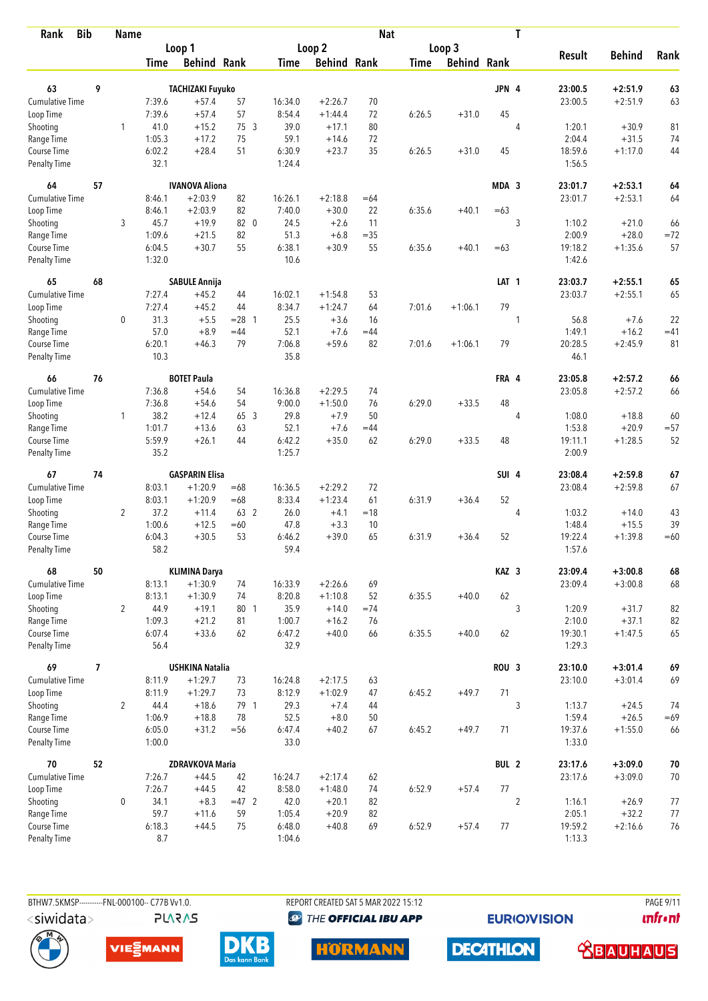| <b>Bib</b><br>Rank          |                          | <b>Name</b>    |                |                         |          |                |                    | <b>Nat</b> |             |                    |                  | T              |                   |               |        |
|-----------------------------|--------------------------|----------------|----------------|-------------------------|----------|----------------|--------------------|------------|-------------|--------------------|------------------|----------------|-------------------|---------------|--------|
|                             |                          |                |                | Loop 1                  |          |                | Loop 2             |            |             | Loop 3             |                  |                |                   |               |        |
|                             |                          |                | <b>Time</b>    | <b>Behind Rank</b>      |          | <b>Time</b>    | <b>Behind Rank</b> |            | <b>Time</b> | <b>Behind Rank</b> |                  |                | <b>Result</b>     | <b>Behind</b> | Rank   |
| 63                          | 9                        |                |                | <b>TACHIZAKI Fuyuko</b> |          |                |                    |            |             |                    | JPN 4            |                | 23:00.5           | $+2:51.9$     | 63     |
| Cumulative Time             |                          |                | 7:39.6         | $+57.4$                 | 57       | 16:34.0        | $+2:26.7$          | 70         |             |                    |                  |                | 23:00.5           | $+2:51.9$     | 63     |
| Loop Time                   |                          |                | 7:39.6         | $+57.4$                 | 57       | 8:54.4         | $+1:44.4$          | 72         | 6:26.5      | $+31.0$            | 45               |                |                   |               |        |
| Shooting                    |                          | 1              | 41.0           | $+15.2$                 | 75 3     | 39.0           | $+17.1$            | 80         |             |                    |                  | $\overline{4}$ | 1:20.1            | $+30.9$       | 81     |
| Range Time                  |                          |                | 1:05.3         | $+17.2$                 | 75       | 59.1           | $+14.6$            | 72         |             |                    |                  |                | 2:04.4            | $+31.5$       | 74     |
| Course Time                 |                          |                | 6:02.2         | $+28.4$                 | 51       | 6:30.9         | $+23.7$            | 35         | 6:26.5      | $+31.0$            | 45               |                | 18:59.6           | $+1:17.0$     | 44     |
| <b>Penalty Time</b>         |                          |                | 32.1           |                         |          | 1:24.4         |                    |            |             |                    |                  |                | 1:56.5            |               |        |
| 64                          | 57                       |                |                | <b>IVANOVA Aliona</b>   |          |                |                    |            |             |                    | MDA 3            |                | 23:01.7           | $+2:53.1$     | 64     |
| Cumulative Time             |                          |                | 8:46.1         | $+2:03.9$               | 82       | 16:26.1        | $+2:18.8$          | $=64$      |             |                    |                  |                | 23:01.7           | $+2:53.1$     | 64     |
| Loop Time                   |                          |                | 8:46.1         | $+2:03.9$               | 82       | 7:40.0         | $+30.0$            | 22         | 6:35.6      | $+40.1$            | $=63$            |                |                   |               |        |
| Shooting                    |                          | 3              | 45.7           | $+19.9$                 | 82 0     | 24.5           | $+2.6$             | 11         |             |                    |                  | 3              | 1:10.2            | $+21.0$       | 66     |
| Range Time                  |                          |                | 1:09.6         | $+21.5$                 | 82       | 51.3           | $+6.8$             | $=35$      |             |                    |                  |                | 2:00.9            | $+28.0$       | $=72$  |
| Course Time                 |                          |                | 6:04.5         | $+30.7$                 | 55       | 6:38.1         | $+30.9$            | 55         | 6:35.6      | $+40.1$            | $=63$            |                | 19:18.2           | $+1:35.6$     | 57     |
| <b>Penalty Time</b>         |                          |                | 1:32.0         |                         |          | 10.6           |                    |            |             |                    |                  |                | 1:42.6            |               |        |
| 65                          | 68                       |                |                | <b>SABULE Annija</b>    |          |                |                    |            |             |                    | LAT <sub>1</sub> |                | 23:03.7           | $+2:55.1$     | 65     |
| Cumulative Time             |                          |                | 7:27.4         | $+45.2$                 | 44       | 16:02.1        | $+1:54.8$          | 53         |             |                    |                  |                | 23:03.7           | $+2:55.1$     | 65     |
| Loop Time                   |                          |                | 7:27.4         | $+45.2$                 | 44       | 8:34.7         | $+1:24.7$          | 64         | 7:01.6      | $+1:06.1$          | 79               |                |                   |               |        |
| Shooting                    |                          | 0              | 31.3           | $+5.5$                  | $= 28$ 1 | 25.5           | $+3.6$             | 16         |             |                    |                  | 1              | 56.8              | $+7.6$        | 22     |
| Range Time                  |                          |                | 57.0           | $+8.9$                  | $=44$    | 52.1           | $+7.6$             | $=44$      |             |                    |                  |                | 1:49.1            | $+16.2$       | $=41$  |
| Course Time                 |                          |                | 6:20.1         | $+46.3$                 | 79       | 7:06.8         | $+59.6$            | 82         | 7:01.6      | $+1:06.1$          | 79               |                | 20:28.5           | $+2:45.9$     | 81     |
| <b>Penalty Time</b>         |                          |                | 10.3           |                         |          | 35.8           |                    |            |             |                    |                  |                | 46.1              |               |        |
| 66                          | 76                       |                |                | <b>BOTET Paula</b>      |          |                |                    |            |             |                    | FRA 4            |                | 23:05.8           | $+2:57.2$     | 66     |
| Cumulative Time             |                          |                | 7:36.8         | $+54.6$                 | 54       | 16:36.8        | $+2:29.5$          | 74         |             |                    |                  |                | 23:05.8           | $+2:57.2$     | 66     |
| Loop Time                   |                          |                | 7:36.8         | $+54.6$                 | 54       | 9:00.0         | $+1:50.0$          | 76         | 6:29.0      | $+33.5$            | 48               |                |                   |               |        |
| Shooting                    |                          | 1              | 38.2           | $+12.4$                 | 65 3     | 29.8           | $+7.9$             | 50         |             |                    |                  | $\overline{4}$ | 1:08.0            | $+18.8$       | 60     |
| Range Time                  |                          |                | 1:01.7         | $+13.6$                 | 63       | 52.1           | $+7.6$             | $=44$      |             |                    |                  |                | 1:53.8            | $+20.9$       | $= 57$ |
| Course Time                 |                          |                | 5:59.9         | $+26.1$                 | 44       | 6:42.2         | $+35.0$            | 62         | 6:29.0      | $+33.5$            | 48               |                | 19:11.1           | $+1:28.5$     | 52     |
| <b>Penalty Time</b>         |                          |                | 35.2           |                         |          | 1:25.7         |                    |            |             |                    |                  |                | 2:00.9            |               |        |
| 67                          | 74                       |                |                | <b>GASPARIN Elisa</b>   |          |                |                    |            |             |                    | SUI 4            |                | 23:08.4           | $+2:59.8$     | 67     |
| <b>Cumulative Time</b>      |                          |                | 8:03.1         | $+1:20.9$               | $=68$    | 16:36.5        | $+2:29.2$          | 72         |             |                    |                  |                | 23:08.4           | $+2:59.8$     | 67     |
| Loop Time                   |                          |                | 8:03.1         | $+1:20.9$               | $=68$    | 8:33.4         | $+1:23.4$          | 61         | 6:31.9      | $+36.4$            | 52               |                |                   |               |        |
| Shooting                    |                          | $\overline{2}$ | 37.2           | $+11.4$                 | 63 2     | 26.0           | $+4.1$             | $=18$      |             |                    |                  | $\overline{4}$ | 1:03.2            | $+14.0$       | 43     |
| Range Time                  |                          |                | 1:00.6         | $+12.5$                 | $=60$    | 47.8           | $+3.3$             | 10         |             |                    |                  |                | 1:48.4            | $+15.5$       | 39     |
| Course Time                 |                          |                | 6:04.3         | $+30.5$                 | 53       | 6:46.2         | $+39.0$            | 65         | 6:31.9      | $+36.4$            | 52               |                | 19:22.4           | $+1:39.8$     | $=60$  |
| <b>Penalty Time</b>         |                          |                | 58.2           |                         |          | 59.4           |                    |            |             |                    |                  |                | 1:57.6            |               |        |
| 68                          | 50                       |                |                | <b>KLIMINA Darya</b>    |          |                |                    |            |             |                    | KAZ 3            |                | 23:09.4           | $+3:00.8$     | 68     |
| <b>Cumulative Time</b>      |                          |                | 8:13.1         | $+1:30.9$               | 74       | 16:33.9        | $+2:26.6$          | 69         |             |                    |                  |                | 23:09.4           | $+3:00.8$     | 68     |
| Loop Time                   |                          |                | 8:13.1         | $+1:30.9$               | 74       | 8:20.8         | $+1:10.8$          | 52         | 6:35.5      | $+40.0$            | 62               |                |                   |               |        |
| Shooting                    |                          | $\overline{2}$ | 44.9           | $+19.1$                 | 80 1     | 35.9           | $+14.0$            | $=74$      |             |                    |                  | 3              | 1:20.9            | $+31.7$       | 82     |
| Range Time                  |                          |                | 1:09.3         | $+21.2$                 | 81       | 1:00.7         | $+16.2$            | 76         |             |                    |                  |                | 2:10.0            | $+37.1$       | 82     |
| Course Time<br>Penalty Time |                          |                | 6:07.4<br>56.4 | $+33.6$                 | 62       | 6:47.2<br>32.9 | $+40.0$            | 66         | 6:35.5      | $+40.0$            | 62               |                | 19:30.1<br>1:29.3 | $+1:47.5$     | 65     |
| 69                          | $\overline{\phantom{a}}$ |                |                | <b>USHKINA Natalia</b>  |          |                |                    |            |             |                    | ROU <sub>3</sub> |                | 23:10.0           | $+3:01.4$     | 69     |
| <b>Cumulative Time</b>      |                          |                | 8:11.9         | $+1:29.7$               | 73       | 16:24.8        | $+2:17.5$          | 63         |             |                    |                  |                | 23:10.0           | $+3:01.4$     | 69     |
| Loop Time                   |                          |                | 8:11.9         | $+1:29.7$               | 73       | 8:12.9         | $+1:02.9$          | 47         | 6:45.2      | $+49.7$            | 71               |                |                   |               |        |
| Shooting                    |                          | $\overline{2}$ | 44.4           | $+18.6$                 | 79 1     | 29.3           | $+7.4$             | 44         |             |                    |                  | 3              | 1:13.7            | $+24.5$       | 74     |
| Range Time                  |                          |                | 1:06.9         | $+18.8$                 | 78       | 52.5           | $+8.0$             | 50         |             |                    |                  |                | 1:59.4            | $+26.5$       | $=69$  |
| Course Time                 |                          |                | 6:05.0         | $+31.2$                 | $= 56$   | 6:47.4         | $+40.2$            | 67         | 6:45.2      | $+49.7$            | 71               |                | 19:37.6           | $+1:55.0$     | 66     |
| Penalty Time                |                          |                | 1:00.0         |                         |          | 33.0           |                    |            |             |                    |                  |                | 1:33.0            |               |        |
| 70                          | 52                       |                |                | <b>ZDRAVKOVA Maria</b>  |          |                |                    |            |             |                    | BUL <sub>2</sub> |                | 23:17.6           | $+3:09.0$     | 70     |
| <b>Cumulative Time</b>      |                          |                | 7:26.7         | $+44.5$                 | 42       | 16:24.7        | $+2:17.4$          | 62         |             |                    |                  |                | 23:17.6           | $+3:09.0$     | $70\,$ |
| Loop Time                   |                          |                | 7:26.7         | $+44.5$                 | 42       | 8:58.0         | $+1:48.0$          | 74         | 6:52.9      | $+57.4$            | $77 \,$          |                |                   |               |        |
| Shooting                    |                          | 0              | 34.1           | $+8.3$                  | $=47$ 2  | 42.0           | $+20.1$            | 82         |             |                    |                  | $\overline{2}$ | 1:16.1            | $+26.9$       | 77     |
| Range Time                  |                          |                | 59.7           | $+11.6$                 | 59       | 1:05.4         | $+20.9$            | 82         |             |                    |                  |                | 2:05.1            | $+32.2$       | 77     |
| Course Time                 |                          |                | 6:18.3         | $+44.5$                 | 75       | 6:48.0         | $+40.8$            | 69         | 6:52.9      | $+57.4$            | 77               |                | 19:59.2           | $+2:16.6$     | 76     |
| <b>Penalty Time</b>         |                          |                | 8.7            |                         |          | 1:04.6         |                    |            |             |                    |                  |                | 1:13.3            |               |        |

BTHW7.5KMSP----------FNL-000100-- C77B Vv1.0. REPORT CREATED SAT 5 MAR 2022 15:12 PAGE 9/11

**<sup><sup>3</sup>** THE OFFICIAL IBU APP</sup>

**EURIOVISION** 

*<u><u>Infront</u>*</u>





**PLARAS** 





**DECATHLON** 

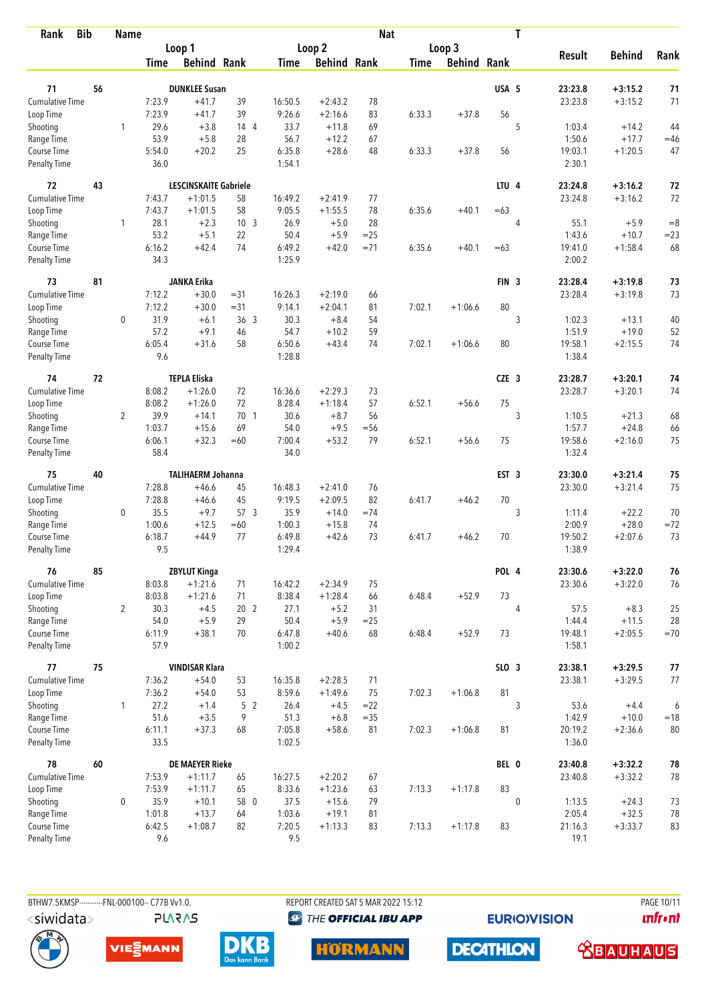| <b>Bib</b><br>Rank                 |    | <b>Name</b>    |                  |                              |                 |                  |                     | <b>Nat</b> |             |                    |                  | T           |                   |               |        |
|------------------------------------|----|----------------|------------------|------------------------------|-----------------|------------------|---------------------|------------|-------------|--------------------|------------------|-------------|-------------------|---------------|--------|
|                                    |    |                |                  | Loop 1                       |                 |                  | Loop 2              |            |             | Loop 3             |                  |             |                   |               |        |
|                                    |    |                | <b>Time</b>      | <b>Behind Rank</b>           |                 | Time             | <b>Behind Rank</b>  |            | <b>Time</b> | <b>Behind Rank</b> |                  |             | <b>Result</b>     | <b>Behind</b> | Rank   |
| 71                                 | 56 |                |                  | <b>DUNKLEE Susan</b>         |                 |                  |                     |            |             |                    | USA 5            |             | 23:23.8           | $+3:15.2$     | 71     |
| <b>Cumulative Time</b>             |    |                | 7:23.9           | $+41.7$                      | 39              | 16:50.5          | $+2:43.2$           | 78         |             |                    |                  |             | 23:23.8           | $+3:15.2$     | 71     |
| Loop Time                          |    |                | 7:23.9           | $+41.7$                      | 39              | 9:26.6           | $+2:16.6$           | 83         | 6:33.3      | $+37.8$            | 56               |             |                   |               |        |
| Shooting                           |    | $\mathbf{1}$   | 29.6             | $+3.8$                       | 144             | 33.7             | $+11.8$             | 69         |             |                    |                  | 5           | 1:03.4            | $+14.2$       | 44     |
| Range Time                         |    |                | 53.9             | $+5.8$                       | 28              | 56.7             | $+12.2$             | 67         |             |                    |                  |             | 1:50.6            | $+17.7$       | $=46$  |
| Course Time                        |    |                | 5:54.0           | $+20.2$                      | 25              | 6:35.8           | $+28.6$             | 48         | 6:33.3      | $+37.8$            | 56               |             | 19:03.1           | $+1:20.5$     | 47     |
| Penalty Time                       |    |                | 36.0             |                              |                 | 1:54.1           |                     |            |             |                    |                  |             | 2:30.1            |               |        |
| 72                                 | 43 |                |                  | <b>LESCINSKAITE Gabriele</b> |                 |                  |                     |            |             |                    | LTU <sub>4</sub> |             | 23:24.8           | $+3:16.2$     | 72     |
| <b>Cumulative Time</b>             |    |                | 7:43.7           | $+1:01.5$                    | 58              | 16:49.2          | $+2:41.9$           | 77         |             |                    |                  |             | 23:24.8           | $+3:16.2$     | 72     |
| Loop Time                          |    |                | 7:43.7           | $+1:01.5$                    | 58              | 9:05.5           | $+1:55.5$           | 78         | 6:35.6      | $+40.1$            | $=63$            |             |                   |               |        |
| Shooting                           |    | 1              | 28.1             | $+2.3$                       | 10 <sub>3</sub> | 26.9             | $+5.0$              | 28         |             |                    |                  | 4           | 55.1              | $+5.9$        | $= 8$  |
| Range Time                         |    |                | 53.2             | $+5.1$                       | 22              | 50.4             | $+5.9$              | $= 25$     |             |                    |                  |             | 1:43.6            | $+10.7$       | $= 23$ |
| Course Time                        |    |                | 6:16.2           | $+42.4$                      | 74              | 6:49.2           | $+42.0$             | $= 71$     | 6:35.6      | $+40.1$            | $=63$            |             | 19:41.0           | $+1:58.4$     | 68     |
| Penalty Time                       |    |                | 34.3             |                              |                 | 1:25.9           |                     |            |             |                    |                  |             | 2:00.2            |               |        |
| 73                                 | 81 |                |                  | <b>JANKA Erika</b>           |                 |                  |                     |            |             |                    | FIN <sub>3</sub> |             | 23:28.4           | $+3:19.8$     | 73     |
| <b>Cumulative Time</b>             |    |                | 7:12.2           | $+30.0$                      | $= 31$          | 16:26.3          | $+2:19.0$           | 66         |             |                    |                  |             | 23:28.4           | $+3:19.8$     | 73     |
| Loop Time                          |    |                | 7:12.2           | $+30.0$                      | $= 31$          | 9:14.1           | $+2:04.1$           | 81         | 7:02.1      | $+1:06.6$          | 80               |             |                   |               |        |
| Shooting                           |    | 0              | 31.9             | $+6.1$                       | 36 <sub>3</sub> | 30.3             | $+8.4$              | 54         |             |                    |                  | 3           | 1:02.3            | $+13.1$       | 40     |
| Range Time                         |    |                | 57.2             | $+9.1$                       | 46              | 54.7             | $+10.2$             | 59         |             |                    |                  |             | 1:51.9            | $+19.0$       | 52     |
| Course Time<br><b>Penalty Time</b> |    |                | 6:05.4<br>9.6    | $+31.6$                      | 58              | 6:50.6<br>1:28.8 | $+43.4$             | 74         | 7:02.1      | $+1:06.6$          | 80               |             | 19:58.1<br>1:38.4 | $+2:15.5$     | 74     |
| 74                                 | 72 |                |                  | <b>TEPLA Eliska</b>          |                 |                  |                     |            |             |                    | CZE <sub>3</sub> |             | 23:28.7           | $+3:20.1$     | 74     |
| <b>Cumulative Time</b>             |    |                | 8:08.2           | $+1:26.0$                    | 72              | 16:36.6          | $+2:29.3$           | 73         |             |                    |                  |             | 23:28.7           | $+3:20.1$     | 74     |
| Loop Time                          |    |                | 8:08.2           | $+1:26.0$                    | 72              | 8:28.4           | $+1:18.4$           | 57         | 6:52.1      | $+56.6$            | 75               |             |                   |               |        |
| Shooting                           |    | $\overline{2}$ | 39.9             | $+14.1$                      | 70 1            | 30.6             | $+8.7$              | 56         |             |                    |                  | 3           | 1:10.5            | $+21.3$       | 68     |
| Range Time                         |    |                | 1:03.7           | $+15.6$                      | 69              | 54.0             | $+9.5$              | $=$ 56     |             |                    |                  |             | 1:57.7            | $+24.8$       | 66     |
| Course Time                        |    |                | 6:06.1           | $+32.3$                      | $=60$           | 7:00.4           | $+53.2$             | 79         | 6:52.1      | $+56.6$            | 75               |             | 19:58.6           | $+2:16.0$     | 75     |
| <b>Penalty Time</b>                |    |                | 58.4             |                              |                 | 34.0             |                     |            |             |                    |                  |             | 1:32.4            |               |        |
| 75                                 | 40 |                |                  | <b>TALIHAERM Johanna</b>     |                 |                  |                     |            |             |                    | EST <sub>3</sub> |             | 23:30.0           | $+3:21.4$     | 75     |
| <b>Cumulative Time</b>             |    |                | 7:28.8           | $+46.6$                      | 45              | 16:48.3          | $+2:41.0$           | 76         |             |                    |                  |             | 23:30.0           | $+3:21.4$     | 75     |
| Loop Time                          |    |                | 7:28.8           | $+46.6$                      | 45              | 9:19.5           | $+2:09.5$           | 82         | 6:41.7      | $+46.2$            | 70               |             |                   |               |        |
| Shooting                           |    | 0              | 35.5             | $+9.7$                       | 57 <sub>3</sub> | 35.9             | $+14.0$             | $=74$      |             |                    |                  | 3           | 1:11.4            | $+22.2$       | 70     |
| Range Time                         |    |                | 1:00.6           | $+12.5$                      | $=60$           | 1:00.3           | $+15.8$             | 74         |             |                    |                  |             | 2:00.9            | $+28.0$       | $= 72$ |
| Course Time<br><b>Penalty Time</b> |    |                | 6:18.7<br>9.5    | $+44.9$                      | 77              | 6:49.8<br>1:29.4 | $+42.6$             | 73         | 6:41.7      | $+46.2$            | 70               |             | 19:50.2<br>1:38.9 | $+2:07.6$     | 73     |
|                                    |    |                |                  |                              |                 |                  |                     |            |             |                    |                  |             |                   |               |        |
| 76                                 | 85 |                |                  | <b>ZBYLUT Kinga</b>          |                 |                  |                     |            |             |                    | POL 4            |             | 23:30.6           | $+3:22.0$     | 76     |
| Cumulative Time<br>Loop Time       |    |                | 8:03.8<br>8:03.8 | $+1:21.6$                    | 71<br>71        | 16:42.2          | $+2:34.9$           | 75         |             |                    | 73               |             | 23:30.6           | $+3:22.0$     | 76     |
|                                    |    | $\overline{2}$ | 30.3             | $+1:21.6$<br>$+4.5$          | 20 <sub>2</sub> | 8:38.4<br>27.1   | $+1:28.4$<br>$+5.2$ | 66<br>31   | 6:48.4      | $+52.9$            |                  | 4           | 57.5              | $+8.3$        | 25     |
| Shooting<br>Range Time             |    |                | 54.0             | $+5.9$                       | 29              | 50.4             | $+5.9$              | $= 25$     |             |                    |                  |             | 1:44.4            | $+11.5$       | 28     |
| Course Time                        |    |                | 6:11.9           | $+38.1$                      | 70              | 6:47.8           | $+40.6$             | 68         | 6:48.4      | $+52.9$            | 73               |             | 19:48.1           | $+2:05.5$     | $=70$  |
| Penalty Time                       |    |                | 57.9             |                              |                 | 1:00.2           |                     |            |             |                    |                  |             | 1:58.1            |               |        |
| 77                                 | 75 |                |                  | <b>VINDISAR Klara</b>        |                 |                  |                     |            |             |                    | SLO 3            |             | 23:38.1           | $+3:29.5$     | $77$   |
| <b>Cumulative Time</b>             |    |                | 7:36.2           | $+54.0$                      | 53              | 16:35.8          | $+2:28.5$           | 71         |             |                    |                  |             | 23:38.1           | $+3:29.5$     | 77     |
| Loop Time                          |    |                | 7:36.2           | $+54.0$                      | 53              | 8:59.6           | $+1:49.6$           | 75         | 7:02.3      | $+1:06.8$          | 81               |             |                   |               |        |
| Shooting                           |    | 1              | 27.2             | $+1.4$                       | 5 <sub>2</sub>  | 26.4             | $+4.5$              | $= 22$     |             |                    |                  | 3           | 53.6              | $+4.4$        | 6      |
| Range Time                         |    |                | 51.6             | $+3.5$                       | 9               | 51.3             | $+6.8$              | $=35$      |             |                    |                  |             | 1:42.9            | $+10.0$       | $=18$  |
| Course Time                        |    |                | 6:11.1           | $+37.3$                      | 68              | 7:05.8           | $+58.6$             | 81         | 7:02.3      | $+1:06.8$          | 81               |             | 20:19.2           | $+2:36.6$     | 80     |
| Penalty Time                       |    |                | 33.5             |                              |                 | 1:02.5           |                     |            |             |                    |                  |             | 1:36.0            |               |        |
| 78                                 | 60 |                |                  | <b>DE MAEYER Rieke</b>       |                 |                  |                     |            |             |                    | BEL 0            |             | 23:40.8           | $+3:32.2$     | 78     |
| Cumulative Time                    |    |                | 7:53.9           | $+1:11.7$                    | 65              | 16:27.5          | $+2:20.2$           | 67         |             |                    |                  |             | 23:40.8           | $+3:32.2$     | 78     |
| Loop Time                          |    |                | 7:53.9           | $+1:11.7$                    | 65              | 8:33.6           | $+1:23.6$           | 63         | 7:13.3      | $+1:17.8$          | 83               |             |                   |               |        |
| Shooting                           |    | 0              | 35.9             | $+10.1$                      | 58 0            | 37.5             | $+15.6$             | 79         |             |                    |                  | $\mathbf 0$ | 1:13.5            | $+24.3$       | 73     |
| Range Time                         |    |                | 1:01.8           | $+13.7$                      | 64              | 1:03.6           | $+19.1$             | 81         |             |                    |                  |             | 2:05.4            | $+32.5$       | 78     |
| Course Time                        |    |                | 6:42.5           | $+1:08.7$                    | 82              | 7:20.5           | $+1:13.3$           | 83         | 7:13.3      | $+1:17.8$          | 83               |             | 21:16.3           | $+3:33.7$     | 83     |
| <b>Penalty Time</b>                |    |                | 9.6              |                              |                 | 9.5              |                     |            |             |                    |                  |             | 19.1              |               |        |

**PLARAS** 

BTHW7.5KMSP----------FNL-000100-- C77B Vv1.0. REPORT CREATED SAT 5 MAR 2022 15:12 PAGE 10/11 **<sup><sup>3</sup>** THE OFFICIAL IBU APP</sup>

**EURIOVISION** 







**DECATHLON HORMANN** 

 **<u>CBAUHAUS</u>** 

**unfront**